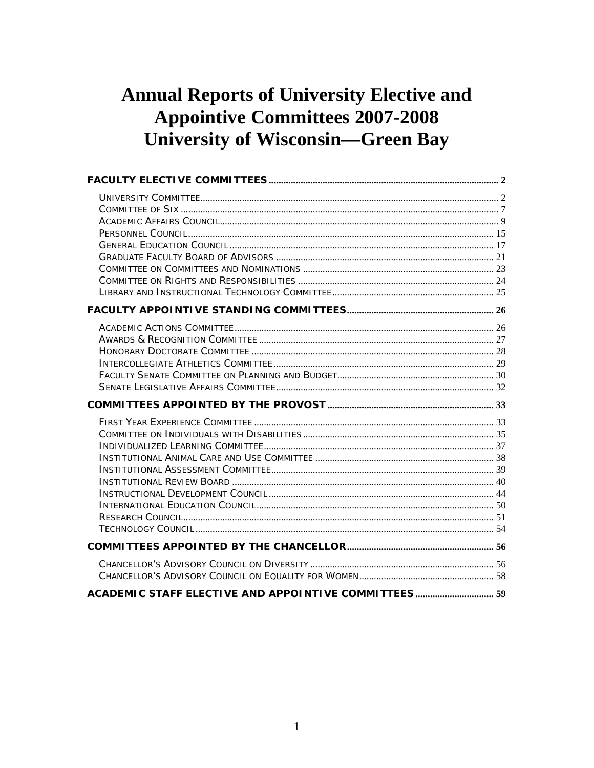# **Annual Reports of University Elective and Appointive Committees 2007-2008 University of Wisconsin-Green Bay**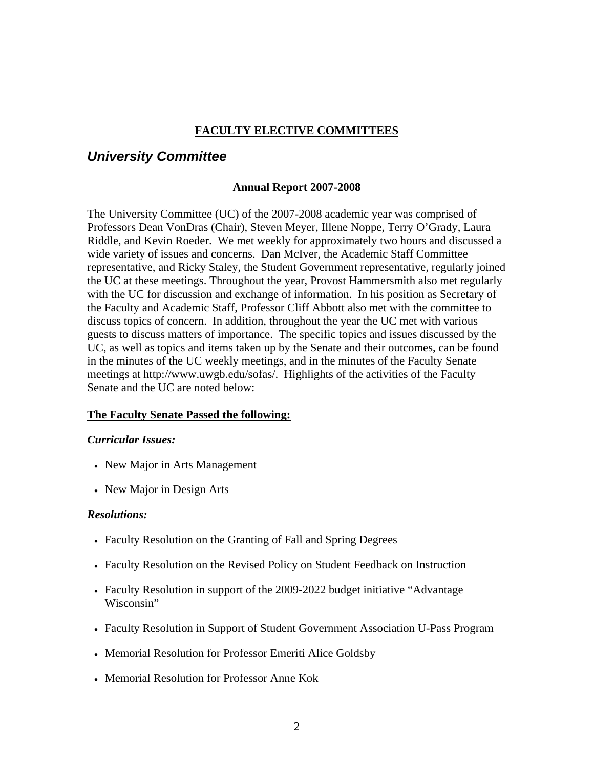### **FACULTY ELECTIVE COMMITTEES**

### <span id="page-1-0"></span>*University Committee*

#### **Annual Report 2007-2008**

The University Committee (UC) of the 2007-2008 academic year was comprised of Professors Dean VonDras (Chair), Steven Meyer, Illene Noppe, Terry O'Grady, Laura Riddle, and Kevin Roeder. We met weekly for approximately two hours and discussed a wide variety of issues and concerns. Dan McIver, the Academic Staff Committee representative, and Ricky Staley, the Student Government representative, regularly joined the UC at these meetings. Throughout the year, Provost Hammersmith also met regularly with the UC for discussion and exchange of information. In his position as Secretary of the Faculty and Academic Staff, Professor Cliff Abbott also met with the committee to discuss topics of concern. In addition, throughout the year the UC met with various guests to discuss matters of importance. The specific topics and issues discussed by the UC, as well as topics and items taken up by the Senate and their outcomes, can be found in the minutes of the UC weekly meetings, and in the minutes of the Faculty Senate meetings at http://www.uwgb.edu/sofas/. Highlights of the activities of the Faculty Senate and the UC are noted below:

### **The Faculty Senate Passed the following:**

#### *Curricular Issues:*

- New Major in Arts Management
- New Major in Design Arts

#### *Resolutions:*

- Faculty Resolution on the Granting of Fall and Spring Degrees
- Faculty Resolution on the Revised Policy on Student Feedback on Instruction
- Faculty Resolution in support of the 2009-2022 budget initiative "Advantage Wisconsin"
- Faculty Resolution in Support of Student Government Association U-Pass Program
- Memorial Resolution for Professor Emeriti Alice Goldsby
- Memorial Resolution for Professor Anne Kok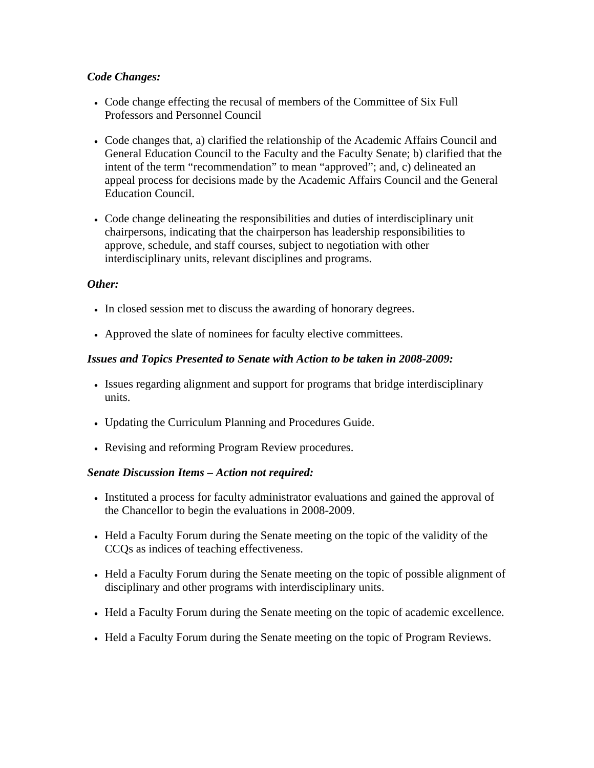### *Code Changes:*

- Code change effecting the recusal of members of the Committee of Six Full Professors and Personnel Council
- Code changes that, a) clarified the relationship of the Academic Affairs Council and General Education Council to the Faculty and the Faculty Senate; b) clarified that the intent of the term "recommendation" to mean "approved"; and, c) delineated an appeal process for decisions made by the Academic Affairs Council and the General Education Council.
- Code change delineating the responsibilities and duties of interdisciplinary unit chairpersons, indicating that the chairperson has leadership responsibilities to approve, schedule, and staff courses, subject to negotiation with other interdisciplinary units, relevant disciplines and programs.

### *Other:*

- In closed session met to discuss the awarding of honorary degrees.
- Approved the slate of nominees for faculty elective committees.

### *Issues and Topics Presented to Senate with Action to be taken in 2008-2009:*

- Issues regarding alignment and support for programs that bridge interdisciplinary units.
- Updating the Curriculum Planning and Procedures Guide.
- Revising and reforming Program Review procedures.

### *Senate Discussion Items – Action not required:*

- Instituted a process for faculty administrator evaluations and gained the approval of the Chancellor to begin the evaluations in 2008-2009.
- Held a Faculty Forum during the Senate meeting on the topic of the validity of the CCQs as indices of teaching effectiveness.
- Held a Faculty Forum during the Senate meeting on the topic of possible alignment of disciplinary and other programs with interdisciplinary units.
- Held a Faculty Forum during the Senate meeting on the topic of academic excellence.
- Held a Faculty Forum during the Senate meeting on the topic of Program Reviews.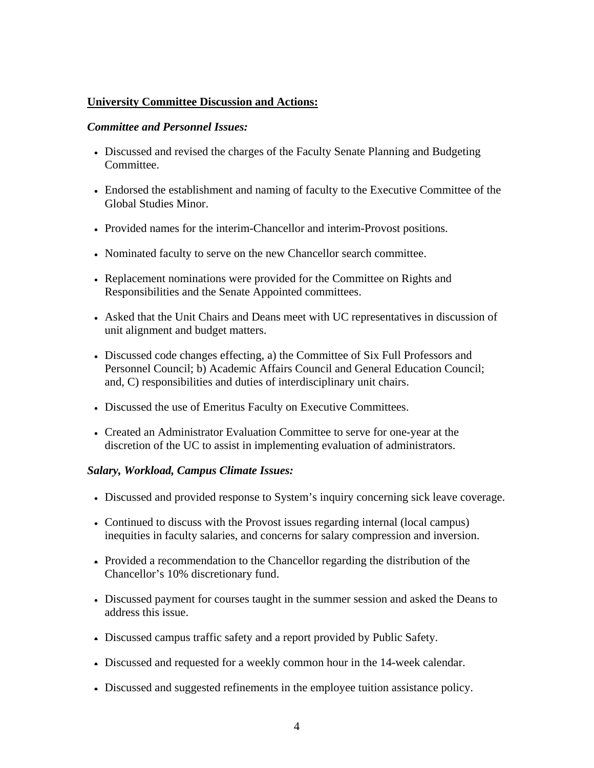### **University Committee Discussion and Actions:**

#### *Committee and Personnel Issues:*

- Discussed and revised the charges of the Faculty Senate Planning and Budgeting Committee.
- Endorsed the establishment and naming of faculty to the Executive Committee of the Global Studies Minor.
- Provided names for the interim-Chancellor and interim-Provost positions.
- Nominated faculty to serve on the new Chancellor search committee.
- Replacement nominations were provided for the Committee on Rights and Responsibilities and the Senate Appointed committees.
- Asked that the Unit Chairs and Deans meet with UC representatives in discussion of unit alignment and budget matters.
- Discussed code changes effecting, a) the Committee of Six Full Professors and Personnel Council; b) Academic Affairs Council and General Education Council; and, C) responsibilities and duties of interdisciplinary unit chairs.
- Discussed the use of Emeritus Faculty on Executive Committees.
- Created an Administrator Evaluation Committee to serve for one-year at the discretion of the UC to assist in implementing evaluation of administrators.

### *Salary, Workload, Campus Climate Issues:*

- Discussed and provided response to System's inquiry concerning sick leave coverage.
- Continued to discuss with the Provost issues regarding internal (local campus) inequities in faculty salaries, and concerns for salary compression and inversion.
- Provided a recommendation to the Chancellor regarding the distribution of the Chancellor's 10% discretionary fund.
- Discussed payment for courses taught in the summer session and asked the Deans to address this issue.
- Discussed campus traffic safety and a report provided by Public Safety.
- Discussed and requested for a weekly common hour in the 14-week calendar.
- Discussed and suggested refinements in the employee tuition assistance policy.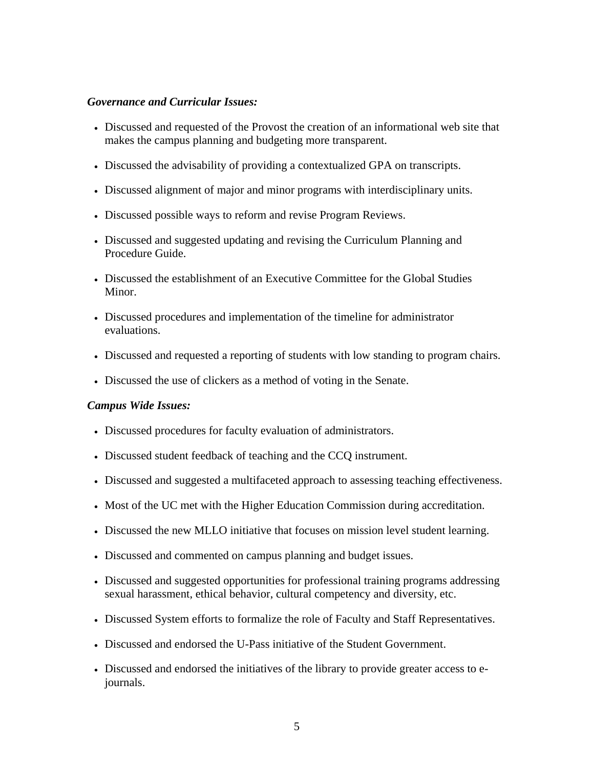### *Governance and Curricular Issues:*

- Discussed and requested of the Provost the creation of an informational web site that makes the campus planning and budgeting more transparent.
- Discussed the advisability of providing a contextualized GPA on transcripts.
- Discussed alignment of major and minor programs with interdisciplinary units.
- Discussed possible ways to reform and revise Program Reviews.
- Discussed and suggested updating and revising the Curriculum Planning and Procedure Guide.
- Discussed the establishment of an Executive Committee for the Global Studies Minor.
- Discussed procedures and implementation of the timeline for administrator evaluations.
- Discussed and requested a reporting of students with low standing to program chairs.
- Discussed the use of clickers as a method of voting in the Senate.

#### *Campus Wide Issues:*

- Discussed procedures for faculty evaluation of administrators.
- Discussed student feedback of teaching and the CCQ instrument.
- Discussed and suggested a multifaceted approach to assessing teaching effectiveness.
- Most of the UC met with the Higher Education Commission during accreditation.
- Discussed the new MLLO initiative that focuses on mission level student learning.
- Discussed and commented on campus planning and budget issues.
- Discussed and suggested opportunities for professional training programs addressing sexual harassment, ethical behavior, cultural competency and diversity, etc.
- Discussed System efforts to formalize the role of Faculty and Staff Representatives.
- Discussed and endorsed the U-Pass initiative of the Student Government.
- Discussed and endorsed the initiatives of the library to provide greater access to ejournals.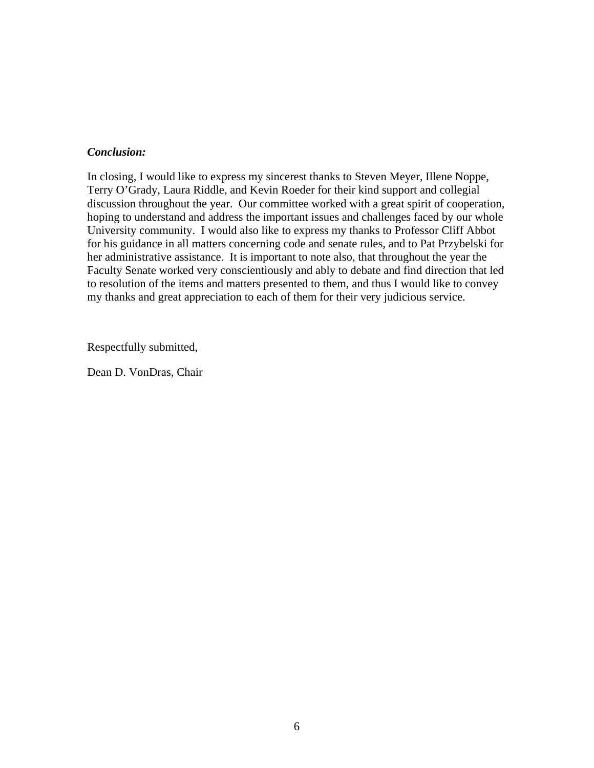### *Conclusion:*

In closing, I would like to express my sincerest thanks to Steven Meyer, Illene Noppe, Terry O'Grady, Laura Riddle, and Kevin Roeder for their kind support and collegial discussion throughout the year. Our committee worked with a great spirit of cooperation, hoping to understand and address the important issues and challenges faced by our whole University community. I would also like to express my thanks to Professor Cliff Abbot for his guidance in all matters concerning code and senate rules, and to Pat Przybelski for her administrative assistance. It is important to note also, that throughout the year the Faculty Senate worked very conscientiously and ably to debate and find direction that led to resolution of the items and matters presented to them, and thus I would like to convey my thanks and great appreciation to each of them for their very judicious service.

Respectfully submitted,

Dean D. VonDras, Chair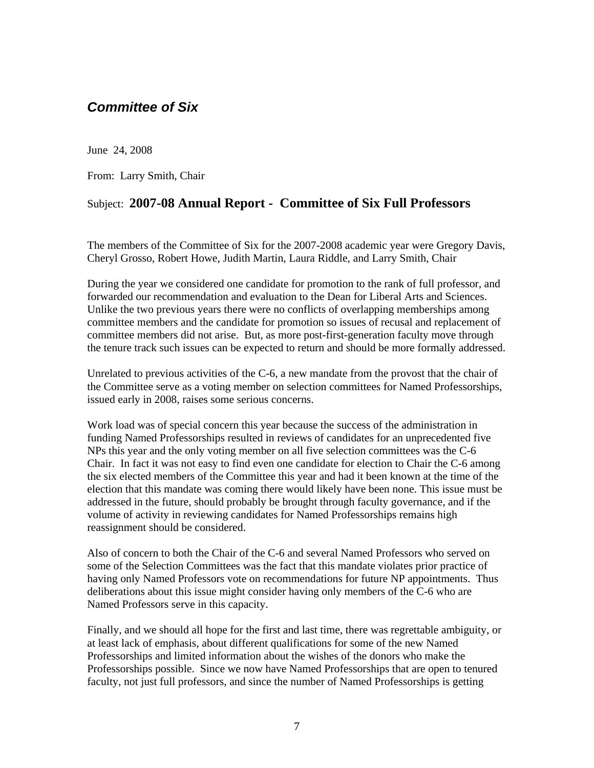### <span id="page-6-0"></span>*Committee of Six*

June 24, 2008

From: Larry Smith, Chair

### Subject: **2007-08 Annual Report - Committee of Six Full Professors**

The members of the Committee of Six for the 2007-2008 academic year were Gregory Davis, Cheryl Grosso, Robert Howe, Judith Martin, Laura Riddle, and Larry Smith, Chair

During the year we considered one candidate for promotion to the rank of full professor, and forwarded our recommendation and evaluation to the Dean for Liberal Arts and Sciences. Unlike the two previous years there were no conflicts of overlapping memberships among committee members and the candidate for promotion so issues of recusal and replacement of committee members did not arise. But, as more post-first-generation faculty move through the tenure track such issues can be expected to return and should be more formally addressed.

Unrelated to previous activities of the C-6, a new mandate from the provost that the chair of the Committee serve as a voting member on selection committees for Named Professorships, issued early in 2008, raises some serious concerns.

Work load was of special concern this year because the success of the administration in funding Named Professorships resulted in reviews of candidates for an unprecedented five NPs this year and the only voting member on all five selection committees was the C-6 Chair. In fact it was not easy to find even one candidate for election to Chair the C-6 among the six elected members of the Committee this year and had it been known at the time of the election that this mandate was coming there would likely have been none. This issue must be addressed in the future, should probably be brought through faculty governance, and if the volume of activity in reviewing candidates for Named Professorships remains high reassignment should be considered.

Also of concern to both the Chair of the C-6 and several Named Professors who served on some of the Selection Committees was the fact that this mandate violates prior practice of having only Named Professors vote on recommendations for future NP appointments. Thus deliberations about this issue might consider having only members of the C-6 who are Named Professors serve in this capacity.

Finally, and we should all hope for the first and last time, there was regrettable ambiguity, or at least lack of emphasis, about different qualifications for some of the new Named Professorships and limited information about the wishes of the donors who make the Professorships possible. Since we now have Named Professorships that are open to tenured faculty, not just full professors, and since the number of Named Professorships is getting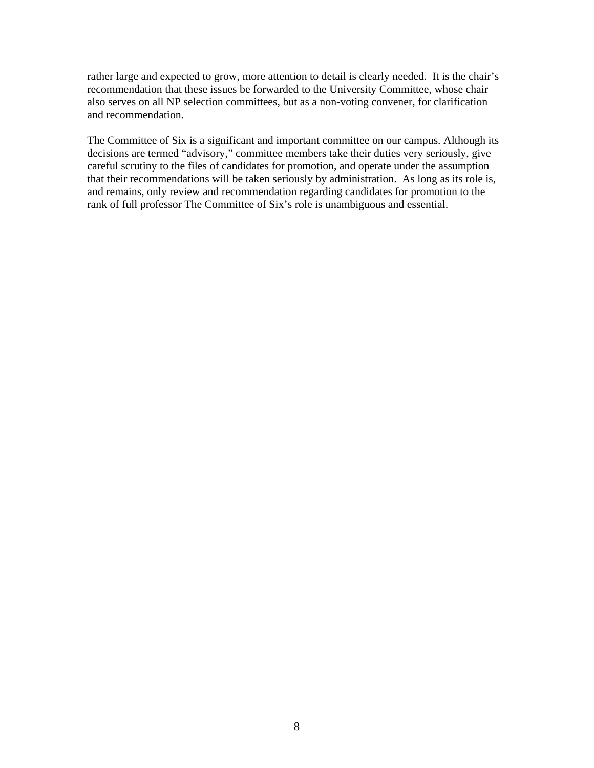rather large and expected to grow, more attention to detail is clearly needed. It is the chair's recommendation that these issues be forwarded to the University Committee, whose chair also serves on all NP selection committees, but as a non-voting convener, for clarification and recommendation.

The Committee of Six is a significant and important committee on our campus. Although its decisions are termed "advisory," committee members take their duties very seriously, give careful scrutiny to the files of candidates for promotion, and operate under the assumption that their recommendations will be taken seriously by administration. As long as its role is, and remains, only review and recommendation regarding candidates for promotion to the rank of full professor The Committee of Six's role is unambiguous and essential.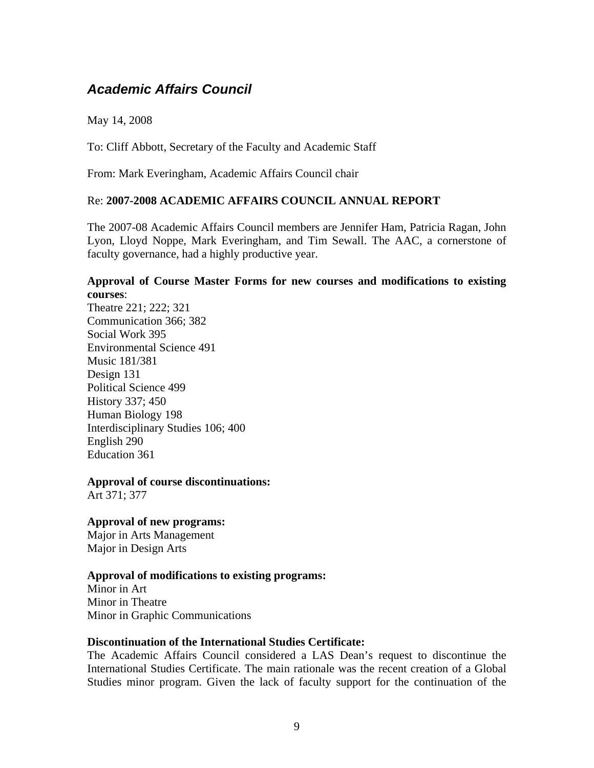### <span id="page-8-0"></span>*Academic Affairs Council*

May 14, 2008

To: Cliff Abbott, Secretary of the Faculty and Academic Staff

From: Mark Everingham, Academic Affairs Council chair

### Re: **2007-2008 ACADEMIC AFFAIRS COUNCIL ANNUAL REPORT**

The 2007-08 Academic Affairs Council members are Jennifer Ham, Patricia Ragan, John Lyon, Lloyd Noppe, Mark Everingham, and Tim Sewall. The AAC, a cornerstone of faculty governance, had a highly productive year.

### **Approval of Course Master Forms for new courses and modifications to existing courses**:

Theatre 221; 222; 321 Communication 366; 382 Social Work 395 Environmental Science 491 Music 181/381 Design 131 Political Science 499 History 337; 450 Human Biology 198 Interdisciplinary Studies 106; 400 English 290 Education 361

**Approval of course discontinuations:**  Art 371; 377

**Approval of new programs:**  Major in Arts Management Major in Design Arts

### **Approval of modifications to existing programs:**

Minor in Art Minor in Theatre Minor in Graphic Communications

### **Discontinuation of the International Studies Certificate:**

The Academic Affairs Council considered a LAS Dean's request to discontinue the International Studies Certificate. The main rationale was the recent creation of a Global Studies minor program. Given the lack of faculty support for the continuation of the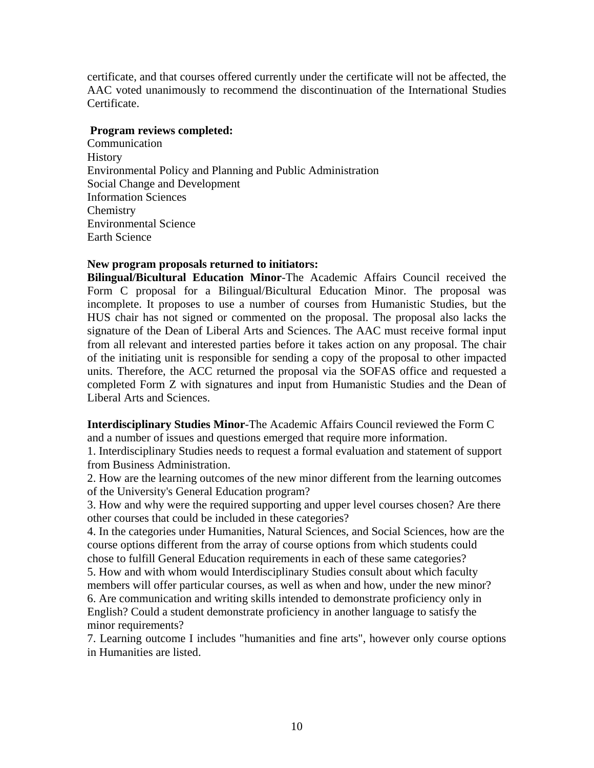certificate, and that courses offered currently under the certificate will not be affected, the AAC voted unanimously to recommend the discontinuation of the International Studies Certificate.

### **Program reviews completed:**

Communication **History** Environmental Policy and Planning and Public Administration Social Change and Development Information Sciences **Chemistry** Environmental Science Earth Science

### **New program proposals returned to initiators:**

**Bilingual/Bicultural Education Minor**-The Academic Affairs Council received the Form C proposal for a Bilingual/Bicultural Education Minor. The proposal was incomplete. It proposes to use a number of courses from Humanistic Studies, but the HUS chair has not signed or commented on the proposal. The proposal also lacks the signature of the Dean of Liberal Arts and Sciences. The AAC must receive formal input from all relevant and interested parties before it takes action on any proposal. The chair of the initiating unit is responsible for sending a copy of the proposal to other impacted units. Therefore, the ACC returned the proposal via the SOFAS office and requested a completed Form Z with signatures and input from Humanistic Studies and the Dean of Liberal Arts and Sciences.

**Interdisciplinary Studies Minor**-The Academic Affairs Council reviewed the Form C and a number of issues and questions emerged that require more information.

1. Interdisciplinary Studies needs to request a formal evaluation and statement of support from Business Administration.

2. How are the learning outcomes of the new minor different from the learning outcomes of the University's General Education program?

3. How and why were the required supporting and upper level courses chosen? Are there other courses that could be included in these categories?

4. In the categories under Humanities, Natural Sciences, and Social Sciences, how are the course options different from the array of course options from which students could chose to fulfill General Education requirements in each of these same categories?

5. How and with whom would Interdisciplinary Studies consult about which faculty members will offer particular courses, as well as when and how, under the new minor? 6. Are communication and writing skills intended to demonstrate proficiency only in English? Could a student demonstrate proficiency in another language to satisfy the minor requirements?

7. Learning outcome I includes "humanities and fine arts", however only course options in Humanities are listed.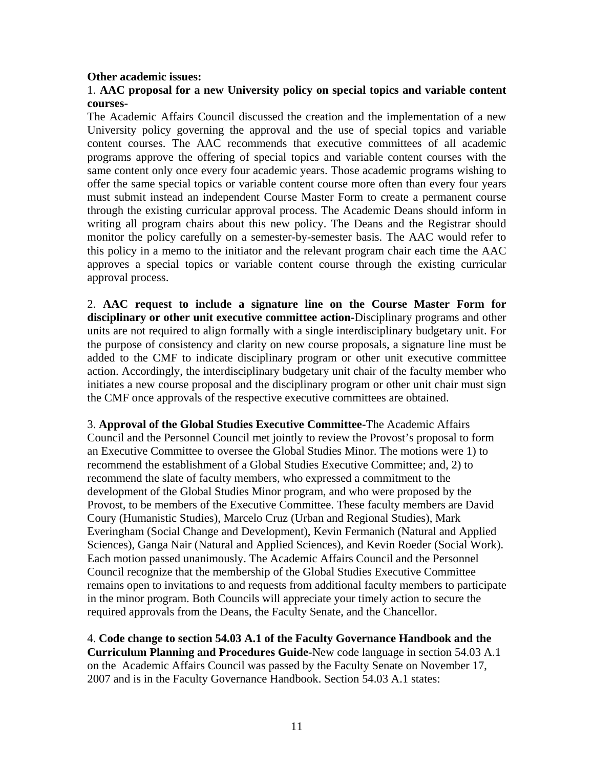#### **Other academic issues:**

### 1. **AAC proposal for a new University policy on special topics and variable content courses-**

The Academic Affairs Council discussed the creation and the implementation of a new University policy governing the approval and the use of special topics and variable content courses. The AAC recommends that executive committees of all academic programs approve the offering of special topics and variable content courses with the same content only once every four academic years. Those academic programs wishing to offer the same special topics or variable content course more often than every four years must submit instead an independent Course Master Form to create a permanent course through the existing curricular approval process. The Academic Deans should inform in writing all program chairs about this new policy. The Deans and the Registrar should monitor the policy carefully on a semester-by-semester basis. The AAC would refer to this policy in a memo to the initiator and the relevant program chair each time the AAC approves a special topics or variable content course through the existing curricular approval process.

2. **AAC request to include a signature line on the Course Master Form for disciplinary or other unit executive committee action-**Disciplinary programs and other units are not required to align formally with a single interdisciplinary budgetary unit. For the purpose of consistency and clarity on new course proposals, a signature line must be added to the CMF to indicate disciplinary program or other unit executive committee action. Accordingly, the interdisciplinary budgetary unit chair of the faculty member who initiates a new course proposal and the disciplinary program or other unit chair must sign the CMF once approvals of the respective executive committees are obtained.

3. **Approval of the Global Studies Executive Committee-**The Academic Affairs Council and the Personnel Council met jointly to review the Provost's proposal to form an Executive Committee to oversee the Global Studies Minor. The motions were 1) to recommend the establishment of a Global Studies Executive Committee; and, 2) to recommend the slate of faculty members, who expressed a commitment to the development of the Global Studies Minor program, and who were proposed by the Provost, to be members of the Executive Committee. These faculty members are David Coury (Humanistic Studies), Marcelo Cruz (Urban and Regional Studies), Mark Everingham (Social Change and Development), Kevin Fermanich (Natural and Applied Sciences), Ganga Nair (Natural and Applied Sciences), and Kevin Roeder (Social Work). Each motion passed unanimously. The Academic Affairs Council and the Personnel Council recognize that the membership of the Global Studies Executive Committee remains open to invitations to and requests from additional faculty members to participate in the minor program. Both Councils will appreciate your timely action to secure the required approvals from the Deans, the Faculty Senate, and the Chancellor.

4. **Code change to section 54.03 A.1 of the Faculty Governance Handbook and the Curriculum Planning and Procedures Guide-**New code language in section 54.03 A.1 on the Academic Affairs Council was passed by the Faculty Senate on November 17, 2007 and is in the Faculty Governance Handbook. Section 54.03 A.1 states: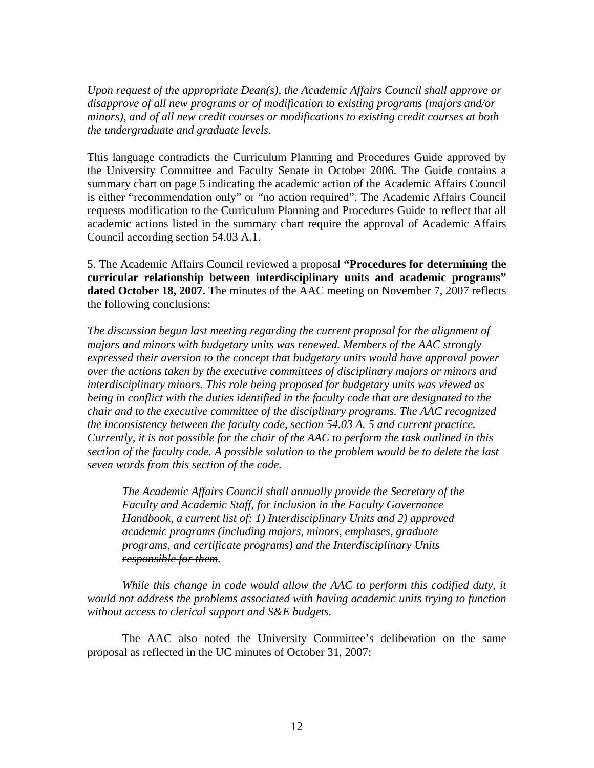*Upon request of the appropriate Dean(s), the Academic Affairs Council shall approve or disapprove of all new programs or of modification to existing programs (majors and/or minors), and of all new credit courses or modifications to existing credit courses at both the undergraduate and graduate levels.* 

This language contradicts the Curriculum Planning and Procedures Guide approved by the University Committee and Faculty Senate in October 2006. The Guide contains a summary chart on page 5 indicating the academic action of the Academic Affairs Council is either "recommendation only" or "no action required". The Academic Affairs Council requests modification to the Curriculum Planning and Procedures Guide to reflect that all academic actions listed in the summary chart require the approval of Academic Affairs Council according section 54.03 A.1.

5. The Academic Affairs Council reviewed a proposal **"Procedures for determining the curricular relationship between interdisciplinary units and academic programs" dated October 18, 2007.** The minutes of the AAC meeting on November 7, 2007 reflects the following conclusions:

*The discussion begun last meeting regarding the current proposal for the alignment of majors and minors with budgetary units was renewed. Members of the AAC strongly expressed their aversion to the concept that budgetary units would have approval power over the actions taken by the executive committees of disciplinary majors or minors and interdisciplinary minors. This role being proposed for budgetary units was viewed as being in conflict with the duties identified in the faculty code that are designated to the chair and to the executive committee of the disciplinary programs. The AAC recognized the inconsistency between the faculty code, section 54.03 A. 5 and current practice. Currently, it is not possible for the chair of the AAC to perform the task outlined in this section of the faculty code. A possible solution to the problem would be to delete the last seven words from this section of the code.* 

 *The Academic Affairs Council shall annually provide the Secretary of the Faculty and Academic Staff, for inclusion in the Faculty Governance Handbook, a current list of: 1) Interdisciplinary Units and 2) approved academic programs (including majors, minors, emphases, graduate programs, and certificate programs) and the Interdisciplinary Units responsible for them.* 

 *While this change in code would allow the AAC to perform this codified duty, it would not address the problems associated with having academic units trying to function without access to clerical support and S&E budgets.* 

 The AAC also noted the University Committee's deliberation on the same proposal as reflected in the UC minutes of October 31, 2007: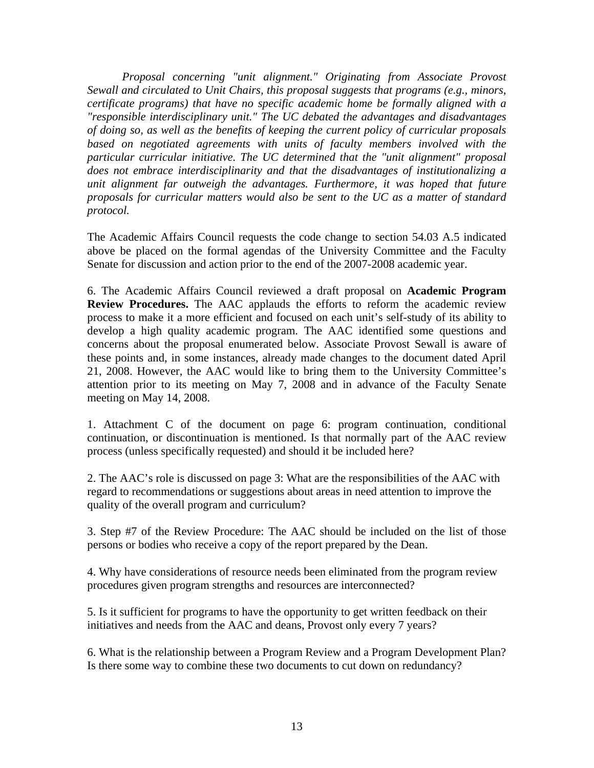*Proposal concerning "unit alignment." Originating from Associate Provost Sewall and circulated to Unit Chairs, this proposal suggests that programs (e.g., minors, certificate programs) that have no specific academic home be formally aligned with a "responsible interdisciplinary unit." The UC debated the advantages and disadvantages of doing so, as well as the benefits of keeping the current policy of curricular proposals based on negotiated agreements with units of faculty members involved with the particular curricular initiative. The UC determined that the "unit alignment" proposal does not embrace interdisciplinarity and that the disadvantages of institutionalizing a unit alignment far outweigh the advantages. Furthermore, it was hoped that future proposals for curricular matters would also be sent to the UC as a matter of standard protocol.* 

The Academic Affairs Council requests the code change to section 54.03 A.5 indicated above be placed on the formal agendas of the University Committee and the Faculty Senate for discussion and action prior to the end of the 2007-2008 academic year.

6. The Academic Affairs Council reviewed a draft proposal on **Academic Program Review Procedures.** The AAC applauds the efforts to reform the academic review process to make it a more efficient and focused on each unit's self-study of its ability to develop a high quality academic program. The AAC identified some questions and concerns about the proposal enumerated below. Associate Provost Sewall is aware of these points and, in some instances, already made changes to the document dated April 21, 2008. However, the AAC would like to bring them to the University Committee's attention prior to its meeting on May 7, 2008 and in advance of the Faculty Senate meeting on May 14, 2008.

1. Attachment C of the document on page 6: program continuation, conditional continuation, or discontinuation is mentioned. Is that normally part of the AAC review process (unless specifically requested) and should it be included here?

2. The AAC's role is discussed on page 3: What are the responsibilities of the AAC with regard to recommendations or suggestions about areas in need attention to improve the quality of the overall program and curriculum?

3. Step #7 of the Review Procedure: The AAC should be included on the list of those persons or bodies who receive a copy of the report prepared by the Dean.

4. Why have considerations of resource needs been eliminated from the program review procedures given program strengths and resources are interconnected?

5. Is it sufficient for programs to have the opportunity to get written feedback on their initiatives and needs from the AAC and deans, Provost only every 7 years?

6. What is the relationship between a Program Review and a Program Development Plan? Is there some way to combine these two documents to cut down on redundancy?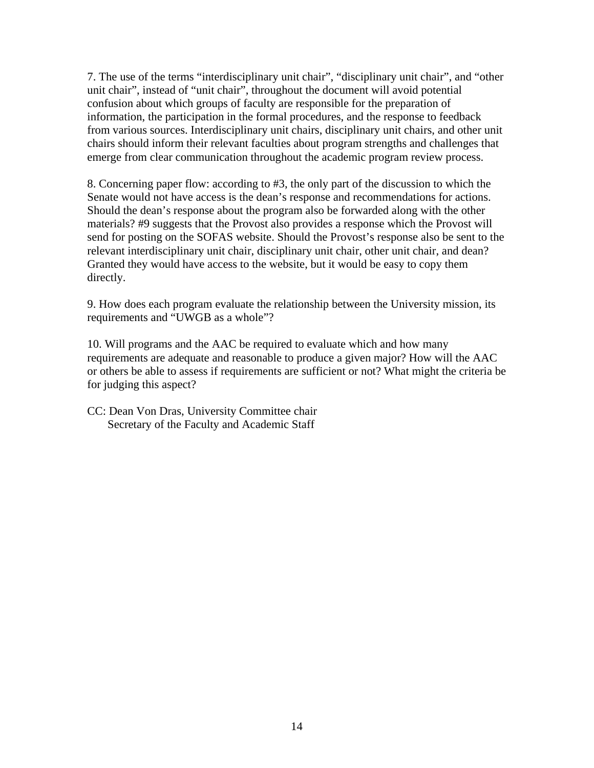7. The use of the terms "interdisciplinary unit chair", "disciplinary unit chair", and "other unit chair", instead of "unit chair", throughout the document will avoid potential confusion about which groups of faculty are responsible for the preparation of information, the participation in the formal procedures, and the response to feedback from various sources. Interdisciplinary unit chairs, disciplinary unit chairs, and other unit chairs should inform their relevant faculties about program strengths and challenges that emerge from clear communication throughout the academic program review process.

8. Concerning paper flow: according to #3, the only part of the discussion to which the Senate would not have access is the dean's response and recommendations for actions. Should the dean's response about the program also be forwarded along with the other materials? #9 suggests that the Provost also provides a response which the Provost will send for posting on the SOFAS website. Should the Provost's response also be sent to the relevant interdisciplinary unit chair, disciplinary unit chair, other unit chair, and dean? Granted they would have access to the website, but it would be easy to copy them directly.

9. How does each program evaluate the relationship between the University mission, its requirements and "UWGB as a whole"?

10. Will programs and the AAC be required to evaluate which and how many requirements are adequate and reasonable to produce a given major? How will the AAC or others be able to assess if requirements are sufficient or not? What might the criteria be for judging this aspect?

CC: Dean Von Dras, University Committee chair Secretary of the Faculty and Academic Staff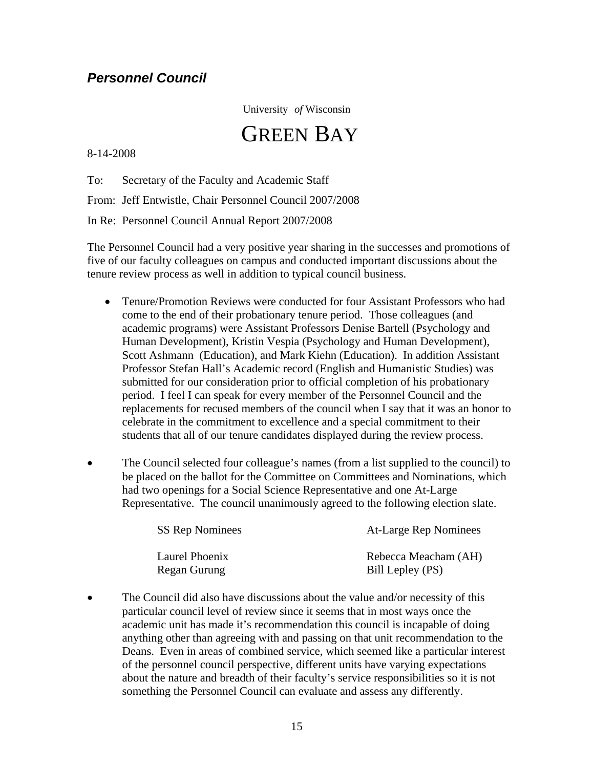### <span id="page-14-0"></span>*Personnel Council*

University *of* Wisconsin

# GREEN BAY

8-14-2008

To: Secretary of the Faculty and Academic Staff

From: Jeff Entwistle, Chair Personnel Council 2007/2008

In Re: Personnel Council Annual Report 2007/2008

The Personnel Council had a very positive year sharing in the successes and promotions of five of our faculty colleagues on campus and conducted important discussions about the tenure review process as well in addition to typical council business.

- Tenure/Promotion Reviews were conducted for four Assistant Professors who had come to the end of their probationary tenure period. Those colleagues (and academic programs) were Assistant Professors Denise Bartell (Psychology and Human Development), Kristin Vespia (Psychology and Human Development), Scott Ashmann (Education), and Mark Kiehn (Education). In addition Assistant Professor Stefan Hall's Academic record (English and Humanistic Studies) was submitted for our consideration prior to official completion of his probationary period. I feel I can speak for every member of the Personnel Council and the replacements for recused members of the council when I say that it was an honor to celebrate in the commitment to excellence and a special commitment to their students that all of our tenure candidates displayed during the review process.
- The Council selected four colleague's names (from a list supplied to the council) to be placed on the ballot for the Committee on Committees and Nominations, which had two openings for a Social Science Representative and one At-Large Representative. The council unanimously agreed to the following election slate.

| <b>SS Rep Nominees</b> | At-Large Rep Nominees |
|------------------------|-----------------------|
| Laurel Phoenix         | Rebecca Meacham (AH)  |
| Regan Gurung           | Bill Lepley (PS)      |

The Council did also have discussions about the value and/or necessity of this particular council level of review since it seems that in most ways once the academic unit has made it's recommendation this council is incapable of doing anything other than agreeing with and passing on that unit recommendation to the Deans. Even in areas of combined service, which seemed like a particular interest of the personnel council perspective, different units have varying expectations about the nature and breadth of their faculty's service responsibilities so it is not something the Personnel Council can evaluate and assess any differently.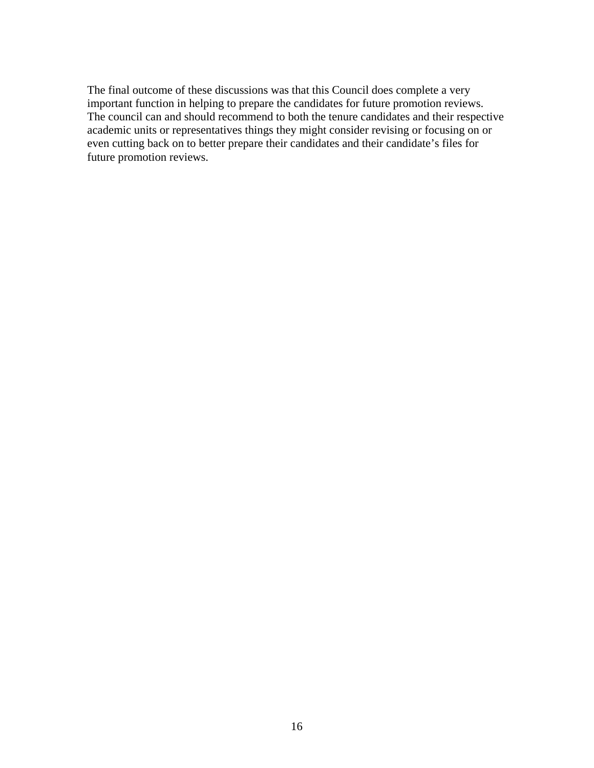The final outcome of these discussions was that this Council does complete a very important function in helping to prepare the candidates for future promotion reviews. The council can and should recommend to both the tenure candidates and their respective academic units or representatives things they might consider revising or focusing on or even cutting back on to better prepare their candidates and their candidate's files for future promotion reviews.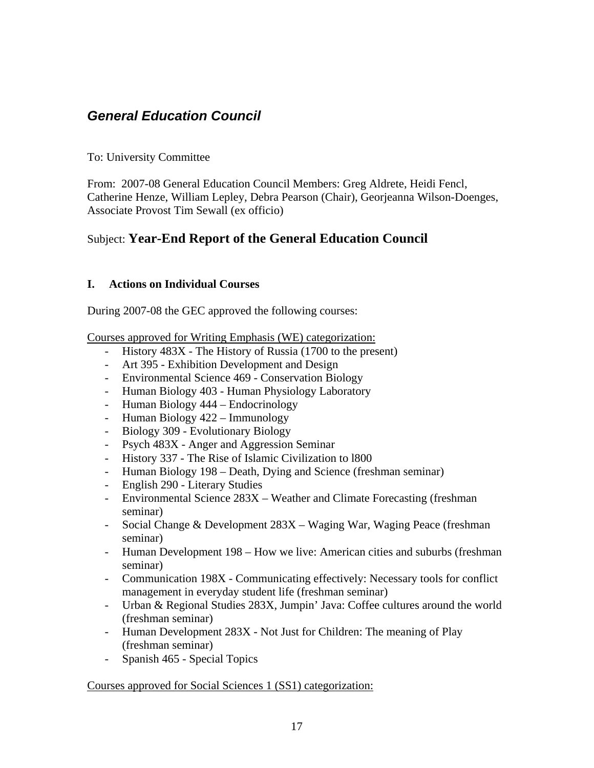## <span id="page-16-0"></span>*General Education Council*

### To: University Committee

From: 2007-08 General Education Council Members: Greg Aldrete, Heidi Fencl, Catherine Henze, William Lepley, Debra Pearson (Chair), Georjeanna Wilson-Doenges, Associate Provost Tim Sewall (ex officio)

### Subject: **Year-End Report of the General Education Council**

### **I. Actions on Individual Courses**

During 2007-08 the GEC approved the following courses:

Courses approved for Writing Emphasis (WE) categorization:

- History 483X The History of Russia (1700 to the present)
- Art 395 Exhibition Development and Design
- Environmental Science 469 Conservation Biology
- Human Biology 403 Human Physiology Laboratory
- Human Biology 444 Endocrinology
- Human Biology 422 Immunology
- Biology 309 Evolutionary Biology
- Psych 483X Anger and Aggression Seminar
- History 337 The Rise of Islamic Civilization to l800
- Human Biology 198 Death, Dying and Science (freshman seminar)
- English 290 Literary Studies
- Environmental Science 283X Weather and Climate Forecasting (freshman seminar)
- Social Change & Development 283X Waging War, Waging Peace (freshman seminar)
- Human Development 198 How we live: American cities and suburbs (freshman seminar)
- Communication 198X Communicating effectively: Necessary tools for conflict management in everyday student life (freshman seminar)
- Urban & Regional Studies 283X, Jumpin' Java: Coffee cultures around the world (freshman seminar)
- Human Development 283X Not Just for Children: The meaning of Play (freshman seminar)
- Spanish 465 Special Topics

### Courses approved for Social Sciences 1 (SS1) categorization: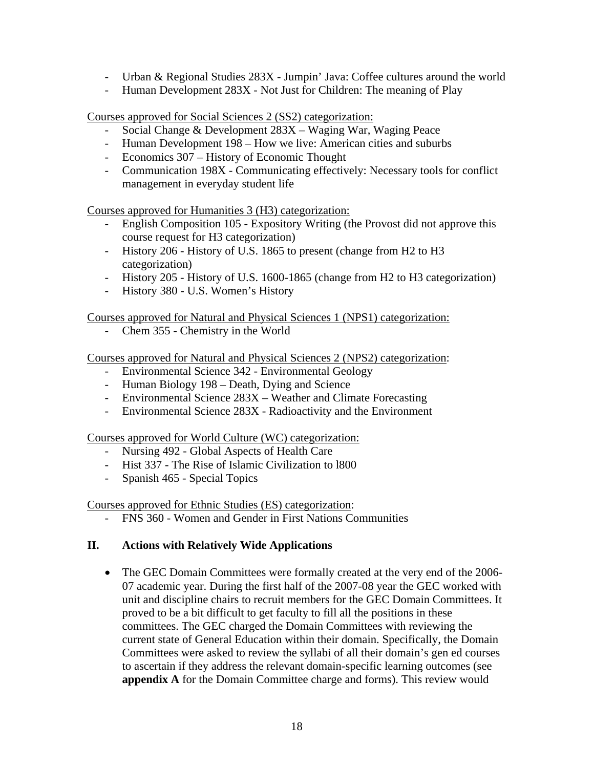- Urban & Regional Studies 283X Jumpin' Java: Coffee cultures around the world
- Human Development 283X Not Just for Children: The meaning of Play

Courses approved for Social Sciences 2 (SS2) categorization:

- Social Change & Development 283X Waging War, Waging Peace
- Human Development 198 How we live: American cities and suburbs
- Economics 307 History of Economic Thought
- Communication 198X Communicating effectively: Necessary tools for conflict management in everyday student life

Courses approved for Humanities 3 (H3) categorization:

- English Composition 105 Expository Writing (the Provost did not approve this course request for H3 categorization)
- History 206 History of U.S. 1865 to present (change from H2 to H3 categorization)
- History 205 History of U.S. 1600-1865 (change from H2 to H3 categorization)
- History 380 U.S. Women's History

Courses approved for Natural and Physical Sciences 1 (NPS1) categorization:

- Chem 355 - Chemistry in the World

Courses approved for Natural and Physical Sciences 2 (NPS2) categorization:

- Environmental Science 342 Environmental Geology
- Human Biology 198 Death, Dying and Science
- Environmental Science 283X Weather and Climate Forecasting
- Environmental Science 283X Radioactivity and the Environment

Courses approved for World Culture (WC) categorization:

- Nursing 492 Global Aspects of Health Care
- Hist 337 The Rise of Islamic Civilization to l800
- Spanish 465 Special Topics

Courses approved for Ethnic Studies (ES) categorization:

- FNS 360 - Women and Gender in First Nations Communities

### **II. Actions with Relatively Wide Applications**

• The GEC Domain Committees were formally created at the very end of the 2006-07 academic year. During the first half of the 2007-08 year the GEC worked with unit and discipline chairs to recruit members for the GEC Domain Committees. It proved to be a bit difficult to get faculty to fill all the positions in these committees. The GEC charged the Domain Committees with reviewing the current state of General Education within their domain. Specifically, the Domain Committees were asked to review the syllabi of all their domain's gen ed courses to ascertain if they address the relevant domain-specific learning outcomes (see **appendix A** for the Domain Committee charge and forms). This review would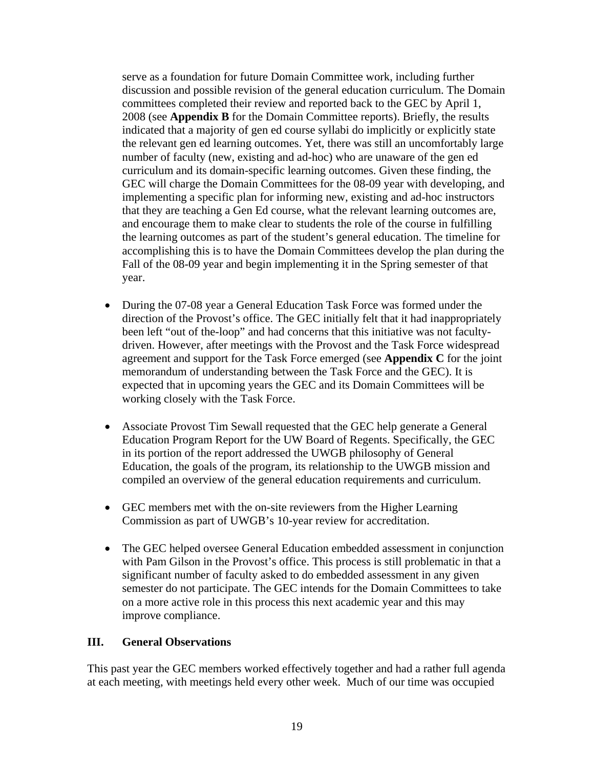serve as a foundation for future Domain Committee work, including further discussion and possible revision of the general education curriculum. The Domain committees completed their review and reported back to the GEC by April 1, 2008 (see **Appendix B** for the Domain Committee reports). Briefly, the results indicated that a majority of gen ed course syllabi do implicitly or explicitly state the relevant gen ed learning outcomes. Yet, there was still an uncomfortably large number of faculty (new, existing and ad-hoc) who are unaware of the gen ed curriculum and its domain-specific learning outcomes. Given these finding, the GEC will charge the Domain Committees for the 08-09 year with developing, and implementing a specific plan for informing new, existing and ad-hoc instructors that they are teaching a Gen Ed course, what the relevant learning outcomes are, and encourage them to make clear to students the role of the course in fulfilling the learning outcomes as part of the student's general education. The timeline for accomplishing this is to have the Domain Committees develop the plan during the Fall of the 08-09 year and begin implementing it in the Spring semester of that year.

- During the 07-08 year a General Education Task Force was formed under the direction of the Provost's office. The GEC initially felt that it had inappropriately been left "out of the-loop" and had concerns that this initiative was not facultydriven. However, after meetings with the Provost and the Task Force widespread agreement and support for the Task Force emerged (see **Appendix C** for the joint memorandum of understanding between the Task Force and the GEC). It is expected that in upcoming years the GEC and its Domain Committees will be working closely with the Task Force.
- Associate Provost Tim Sewall requested that the GEC help generate a General Education Program Report for the UW Board of Regents. Specifically, the GEC in its portion of the report addressed the UWGB philosophy of General Education, the goals of the program, its relationship to the UWGB mission and compiled an overview of the general education requirements and curriculum.
- GEC members met with the on-site reviewers from the Higher Learning Commission as part of UWGB's 10-year review for accreditation.
- The GEC helped oversee General Education embedded assessment in conjunction with Pam Gilson in the Provost's office. This process is still problematic in that a significant number of faculty asked to do embedded assessment in any given semester do not participate. The GEC intends for the Domain Committees to take on a more active role in this process this next academic year and this may improve compliance.

### **III. General Observations**

This past year the GEC members worked effectively together and had a rather full agenda at each meeting, with meetings held every other week. Much of our time was occupied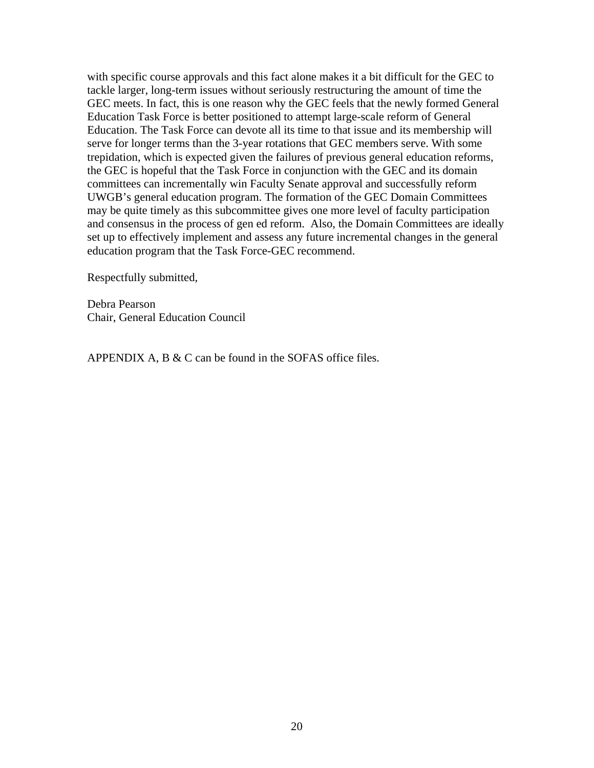with specific course approvals and this fact alone makes it a bit difficult for the GEC to tackle larger, long-term issues without seriously restructuring the amount of time the GEC meets. In fact, this is one reason why the GEC feels that the newly formed General Education Task Force is better positioned to attempt large-scale reform of General Education. The Task Force can devote all its time to that issue and its membership will serve for longer terms than the 3-year rotations that GEC members serve. With some trepidation, which is expected given the failures of previous general education reforms, the GEC is hopeful that the Task Force in conjunction with the GEC and its domain committees can incrementally win Faculty Senate approval and successfully reform UWGB's general education program. The formation of the GEC Domain Committees may be quite timely as this subcommittee gives one more level of faculty participation and consensus in the process of gen ed reform. Also, the Domain Committees are ideally set up to effectively implement and assess any future incremental changes in the general education program that the Task Force-GEC recommend.

Respectfully submitted,

Debra Pearson Chair, General Education Council

APPENDIX A, B & C can be found in the SOFAS office files.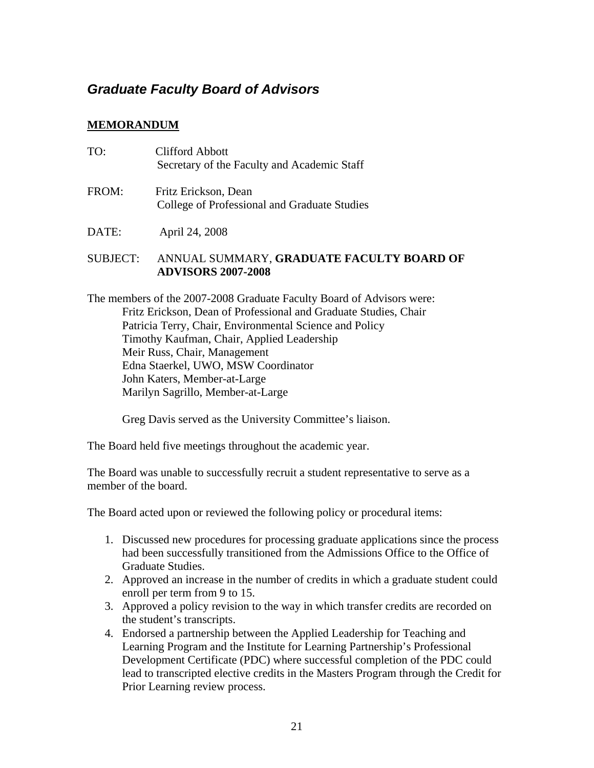### <span id="page-20-0"></span>*Graduate Faculty Board of Advisors*

### **MEMORANDUM**

| TO:             | <b>Clifford Abbott</b><br>Secretary of the Faculty and Academic Staff |
|-----------------|-----------------------------------------------------------------------|
| FROM:           | Fritz Erickson, Dean<br>College of Professional and Graduate Studies  |
| DATE:           | April 24, 2008                                                        |
| <b>SUBJECT:</b> | ANNUAL SUMMARY, GRADUATE FACULTY BOARD OF                             |

**ADVISORS 2007-2008** 

The members of the 2007-2008 Graduate Faculty Board of Advisors were: Fritz Erickson, Dean of Professional and Graduate Studies, Chair Patricia Terry, Chair, Environmental Science and Policy Timothy Kaufman, Chair, Applied Leadership Meir Russ, Chair, Management Edna Staerkel, UWO, MSW Coordinator John Katers, Member-at-Large Marilyn Sagrillo, Member-at-Large

Greg Davis served as the University Committee's liaison.

The Board held five meetings throughout the academic year.

The Board was unable to successfully recruit a student representative to serve as a member of the board.

The Board acted upon or reviewed the following policy or procedural items:

- 1. Discussed new procedures for processing graduate applications since the process had been successfully transitioned from the Admissions Office to the Office of Graduate Studies.
- 2. Approved an increase in the number of credits in which a graduate student could enroll per term from 9 to 15.
- 3. Approved a policy revision to the way in which transfer credits are recorded on the student's transcripts.
- 4. Endorsed a partnership between the Applied Leadership for Teaching and Learning Program and the Institute for Learning Partnership's Professional Development Certificate (PDC) where successful completion of the PDC could lead to transcripted elective credits in the Masters Program through the Credit for Prior Learning review process.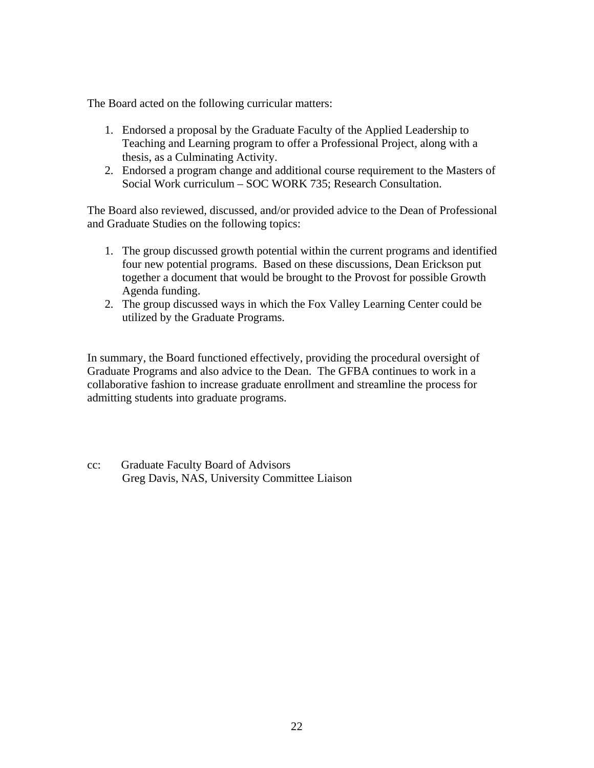The Board acted on the following curricular matters:

- 1. Endorsed a proposal by the Graduate Faculty of the Applied Leadership to Teaching and Learning program to offer a Professional Project, along with a thesis, as a Culminating Activity.
- 2. Endorsed a program change and additional course requirement to the Masters of Social Work curriculum – SOC WORK 735; Research Consultation.

The Board also reviewed, discussed, and/or provided advice to the Dean of Professional and Graduate Studies on the following topics:

- 1. The group discussed growth potential within the current programs and identified four new potential programs. Based on these discussions, Dean Erickson put together a document that would be brought to the Provost for possible Growth Agenda funding.
- 2. The group discussed ways in which the Fox Valley Learning Center could be utilized by the Graduate Programs.

In summary, the Board functioned effectively, providing the procedural oversight of Graduate Programs and also advice to the Dean. The GFBA continues to work in a collaborative fashion to increase graduate enrollment and streamline the process for admitting students into graduate programs.

cc: Graduate Faculty Board of Advisors Greg Davis, NAS, University Committee Liaison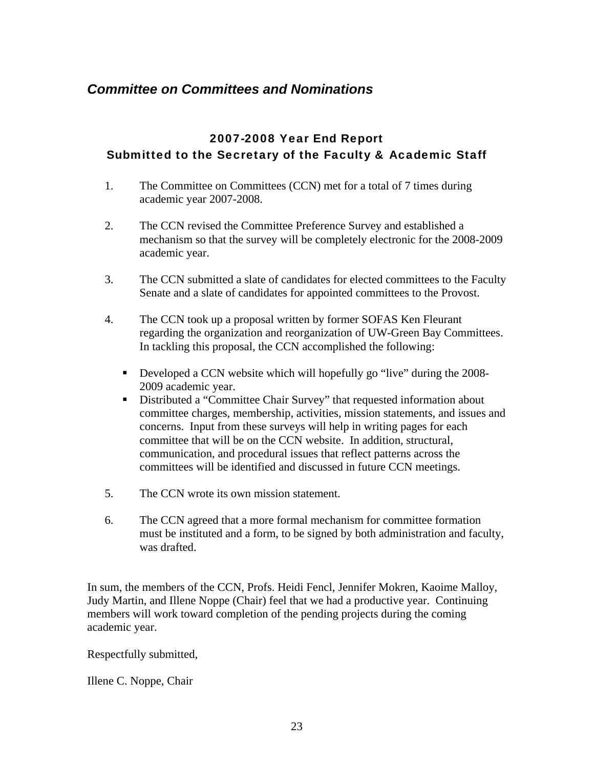### <span id="page-22-0"></span>*Committee on Committees and Nominations*

### 2007-2008 Year End Report Submitted to the Secretary of the Faculty & Academic Staff

- 1. The Committee on Committees (CCN) met for a total of 7 times during academic year 2007-2008.
- 2. The CCN revised the Committee Preference Survey and established a mechanism so that the survey will be completely electronic for the 2008-2009 academic year.
- 3. The CCN submitted a slate of candidates for elected committees to the Faculty Senate and a slate of candidates for appointed committees to the Provost.
- 4. The CCN took up a proposal written by former SOFAS Ken Fleurant regarding the organization and reorganization of UW-Green Bay Committees. In tackling this proposal, the CCN accomplished the following:
	- Developed a CCN website which will hopefully go "live" during the 2008-2009 academic year.
	- Distributed a "Committee Chair Survey" that requested information about committee charges, membership, activities, mission statements, and issues and concerns. Input from these surveys will help in writing pages for each committee that will be on the CCN website. In addition, structural, communication, and procedural issues that reflect patterns across the committees will be identified and discussed in future CCN meetings.
- 5. The CCN wrote its own mission statement.
- 6. The CCN agreed that a more formal mechanism for committee formation must be instituted and a form, to be signed by both administration and faculty, was drafted.

In sum, the members of the CCN, Profs. Heidi Fencl, Jennifer Mokren, Kaoime Malloy, Judy Martin, and Illene Noppe (Chair) feel that we had a productive year. Continuing members will work toward completion of the pending projects during the coming academic year.

Respectfully submitted,

Illene C. Noppe, Chair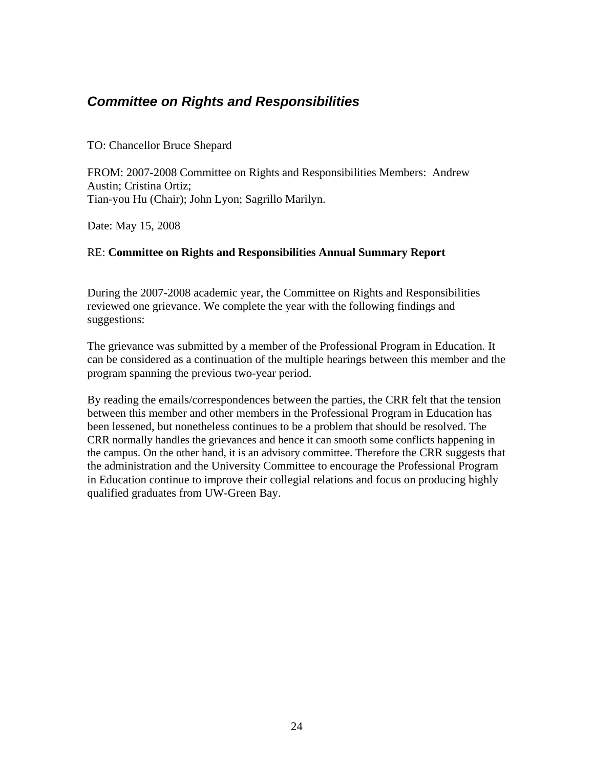### <span id="page-23-0"></span>*Committee on Rights and Responsibilities*

### TO: Chancellor Bruce Shepard

FROM: 2007-2008 Committee on Rights and Responsibilities Members: Andrew Austin; Cristina Ortiz; Tian-you Hu (Chair); John Lyon; Sagrillo Marilyn.

Date: May 15, 2008

### RE: **Committee on Rights and Responsibilities Annual Summary Report**

During the 2007-2008 academic year, the Committee on Rights and Responsibilities reviewed one grievance. We complete the year with the following findings and suggestions:

The grievance was submitted by a member of the Professional Program in Education. It can be considered as a continuation of the multiple hearings between this member and the program spanning the previous two-year period.

By reading the emails/correspondences between the parties, the CRR felt that the tension between this member and other members in the Professional Program in Education has been lessened, but nonetheless continues to be a problem that should be resolved. The CRR normally handles the grievances and hence it can smooth some conflicts happening in the campus. On the other hand, it is an advisory committee. Therefore the CRR suggests that the administration and the University Committee to encourage the Professional Program in Education continue to improve their collegial relations and focus on producing highly qualified graduates from UW-Green Bay.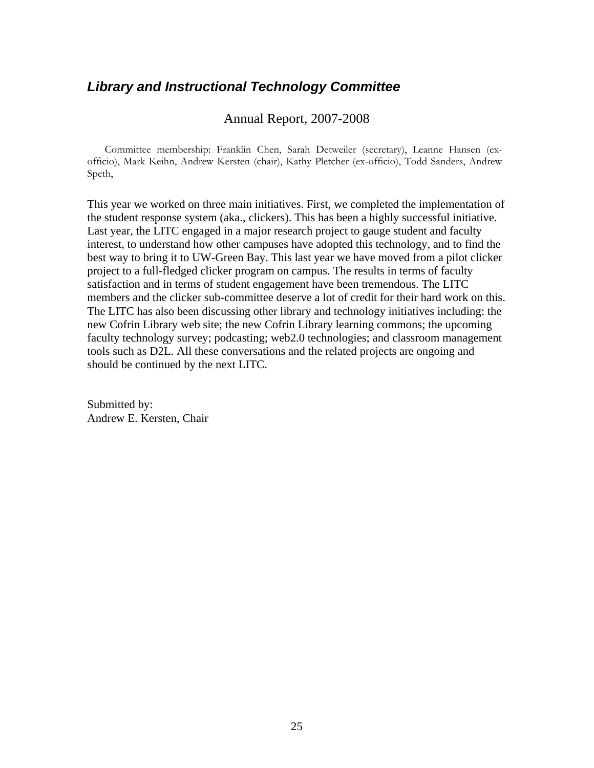### <span id="page-24-0"></span>*Library and Instructional Technology Committee*

### Annual Report, 2007-2008

Committee membership: Franklin Chen, Sarah Detweiler (secretary), Leanne Hansen (exofficio), Mark Keihn, Andrew Kersten (chair), Kathy Pletcher (ex-officio), Todd Sanders, Andrew Speth,

This year we worked on three main initiatives. First, we completed the implementation of the student response system (aka., clickers). This has been a highly successful initiative. Last year, the LITC engaged in a major research project to gauge student and faculty interest, to understand how other campuses have adopted this technology, and to find the best way to bring it to UW-Green Bay. This last year we have moved from a pilot clicker project to a full-fledged clicker program on campus. The results in terms of faculty satisfaction and in terms of student engagement have been tremendous. The LITC members and the clicker sub-committee deserve a lot of credit for their hard work on this. The LITC has also been discussing other library and technology initiatives including: the new Cofrin Library web site; the new Cofrin Library learning commons; the upcoming faculty technology survey; podcasting; web2.0 technologies; and classroom management tools such as D2L. All these conversations and the related projects are ongoing and should be continued by the next LITC.

Submitted by: Andrew E. Kersten, Chair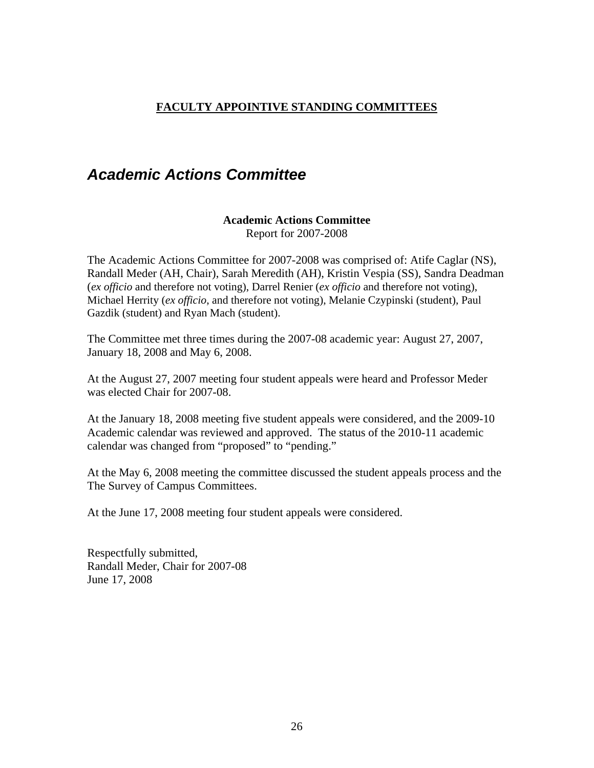### <span id="page-25-0"></span>**FACULTY APPOINTIVE STANDING COMMITTEES**

# *Academic Actions Committee*

### **Academic Actions Committee**

Report for 2007-2008

The Academic Actions Committee for 2007-2008 was comprised of: Atife Caglar (NS), Randall Meder (AH, Chair), Sarah Meredith (AH), Kristin Vespia (SS), Sandra Deadman (*ex officio* and therefore not voting), Darrel Renier (*ex officio* and therefore not voting), Michael Herrity (*ex officio*, and therefore not voting), Melanie Czypinski (student), Paul Gazdik (student) and Ryan Mach (student).

The Committee met three times during the 2007-08 academic year: August 27, 2007, January 18, 2008 and May 6, 2008.

At the August 27, 2007 meeting four student appeals were heard and Professor Meder was elected Chair for 2007-08.

At the January 18, 2008 meeting five student appeals were considered, and the 2009-10 Academic calendar was reviewed and approved. The status of the 2010-11 academic calendar was changed from "proposed" to "pending."

At the May 6, 2008 meeting the committee discussed the student appeals process and the The Survey of Campus Committees.

At the June 17, 2008 meeting four student appeals were considered.

Respectfully submitted, Randall Meder, Chair for 2007-08 June 17, 2008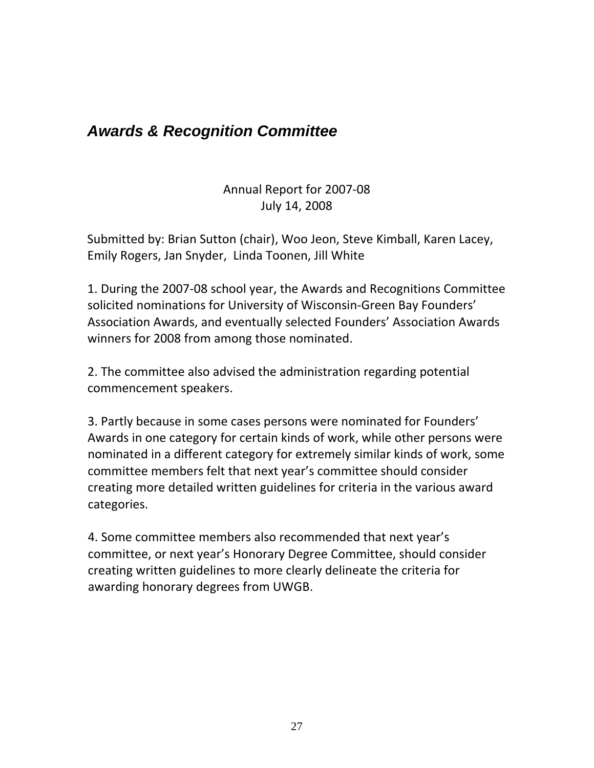# <span id="page-26-0"></span>*Awards & Recognition Committee*

Annual Report for 2007‐08 July 14, 2008

Submitted by: Brian Sutton (chair), Woo Jeon, Steve Kimball, Karen Lacey, Emily Rogers, Jan Snyder, Linda Toonen, Jill White

1. During the 2007‐08 school year, the Awards and Recognitions Committee solicited nominations for University of Wisconsin‐Green Bay Founders' Association Awards, and eventually selected Founders' Association Awards winners for 2008 from among those nominated.

2. The committee also advised the administration regarding potential commencement speakers.

3. Partly because in some cases persons were nominated for Founders' Awards in one category for certain kinds of work, while other persons were nominated in a different category for extremely similar kinds of work, some committee members felt that next year's committee should consider creating more detailed written guidelines for criteria in the various award categories.

4. Some committee members also recommended that next year's committee, or next year's Honorary Degree Committee, should consider creating written guidelines to more clearly delineate the criteria for awarding honorary degrees from UWGB.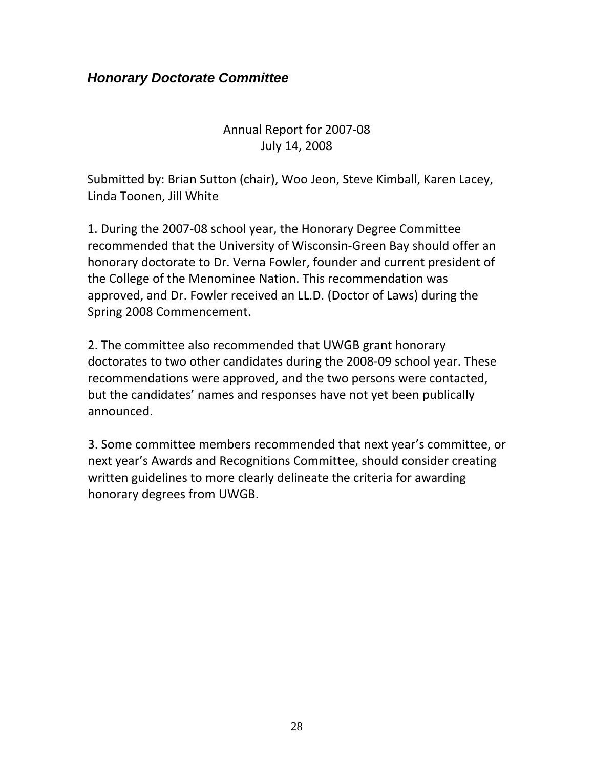### <span id="page-27-0"></span>*Honorary Doctorate Committee*

### Annual Report for 2007‐08 July 14, 2008

Submitted by: Brian Sutton (chair), Woo Jeon, Steve Kimball, Karen Lacey, Linda Toonen, Jill White

1. During the 2007‐08 school year, the Honorary Degree Committee recommended that the University of Wisconsin‐Green Bay should offer an honorary doctorate to Dr. Verna Fowler, founder and current president of the College of the Menominee Nation. This recommendation was approved, and Dr. Fowler received an LL.D. (Doctor of Laws) during the Spring 2008 Commencement.

2. The committee also recommended that UWGB grant honorary doctorates to two other candidates during the 2008‐09 school year. These recommendations were approved, and the two persons were contacted, but the candidates' names and responses have not yet been publically announced.

3. Some committee members recommended that next year's committee, or next year's Awards and Recognitions Committee, should consider creating written guidelines to more clearly delineate the criteria for awarding honorary degrees from UWGB.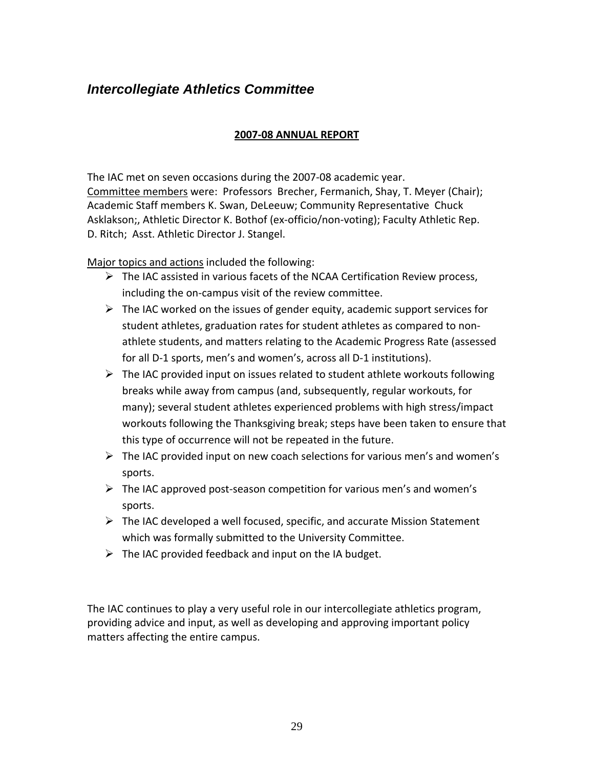## <span id="page-28-0"></span>*Intercollegiate Athletics Committee*

### **2007‐08 ANNUAL REPORT**

The IAC met on seven occasions during the 2007‐08 academic year. Committee members were: Professors Brecher, Fermanich, Shay, T. Meyer (Chair); Academic Staff members K. Swan, DeLeeuw; Community Representative Chuck Asklakson;, Athletic Director K. Bothof (ex‐officio/non‐voting); Faculty Athletic Rep. D. Ritch; Asst. Athletic Director J. Stangel.

Major topics and actions included the following:

- $\triangleright$  The IAC assisted in various facets of the NCAA Certification Review process, including the on‐campus visit of the review committee.
- $\triangleright$  The IAC worked on the issues of gender equity, academic support services for student athletes, graduation rates for student athletes as compared to non‐ athlete students, and matters relating to the Academic Progress Rate (assessed for all D‐1 sports, men's and women's, across all D‐1 institutions).
- $\triangleright$  The IAC provided input on issues related to student athlete workouts following breaks while away from campus (and, subsequently, regular workouts, for many); several student athletes experienced problems with high stress/impact workouts following the Thanksgiving break; steps have been taken to ensure that this type of occurrence will not be repeated in the future.
- $\triangleright$  The IAC provided input on new coach selections for various men's and women's sports.
- $\triangleright$  The IAC approved post-season competition for various men's and women's sports.
- $\triangleright$  The IAC developed a well focused, specific, and accurate Mission Statement which was formally submitted to the University Committee.
- $\triangleright$  The IAC provided feedback and input on the IA budget.

The IAC continues to play a very useful role in our intercollegiate athletics program, providing advice and input, as well as developing and approving important policy matters affecting the entire campus.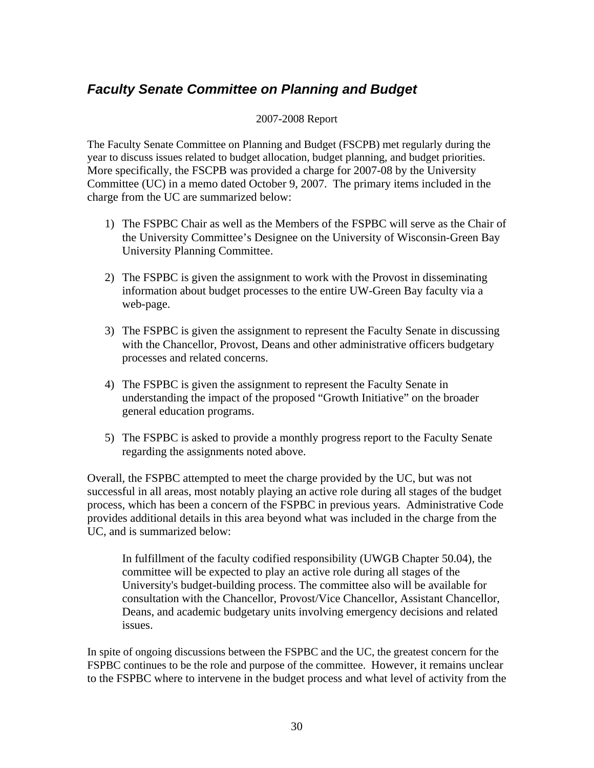### <span id="page-29-0"></span>*Faculty Senate Committee on Planning and Budget*

#### 2007-2008 Report

The Faculty Senate Committee on Planning and Budget (FSCPB) met regularly during the year to discuss issues related to budget allocation, budget planning, and budget priorities. More specifically, the FSCPB was provided a charge for 2007-08 by the University Committee (UC) in a memo dated October 9, 2007. The primary items included in the charge from the UC are summarized below:

- 1) The FSPBC Chair as well as the Members of the FSPBC will serve as the Chair of the University Committee's Designee on the University of Wisconsin-Green Bay University Planning Committee.
- 2) The FSPBC is given the assignment to work with the Provost in disseminating information about budget processes to the entire UW-Green Bay faculty via a web-page.
- 3) The FSPBC is given the assignment to represent the Faculty Senate in discussing with the Chancellor, Provost, Deans and other administrative officers budgetary processes and related concerns.
- 4) The FSPBC is given the assignment to represent the Faculty Senate in understanding the impact of the proposed "Growth Initiative" on the broader general education programs.
- 5) The FSPBC is asked to provide a monthly progress report to the Faculty Senate regarding the assignments noted above.

Overall, the FSPBC attempted to meet the charge provided by the UC, but was not successful in all areas, most notably playing an active role during all stages of the budget process, which has been a concern of the FSPBC in previous years. Administrative Code provides additional details in this area beyond what was included in the charge from the UC, and is summarized below:

In fulfillment of the faculty codified responsibility (UWGB Chapter 50.04), the committee will be expected to play an active role during all stages of the University's budget-building process. The committee also will be available for consultation with the Chancellor, Provost/Vice Chancellor, Assistant Chancellor, Deans, and academic budgetary units involving emergency decisions and related issues.

In spite of ongoing discussions between the FSPBC and the UC, the greatest concern for the FSPBC continues to be the role and purpose of the committee. However, it remains unclear to the FSPBC where to intervene in the budget process and what level of activity from the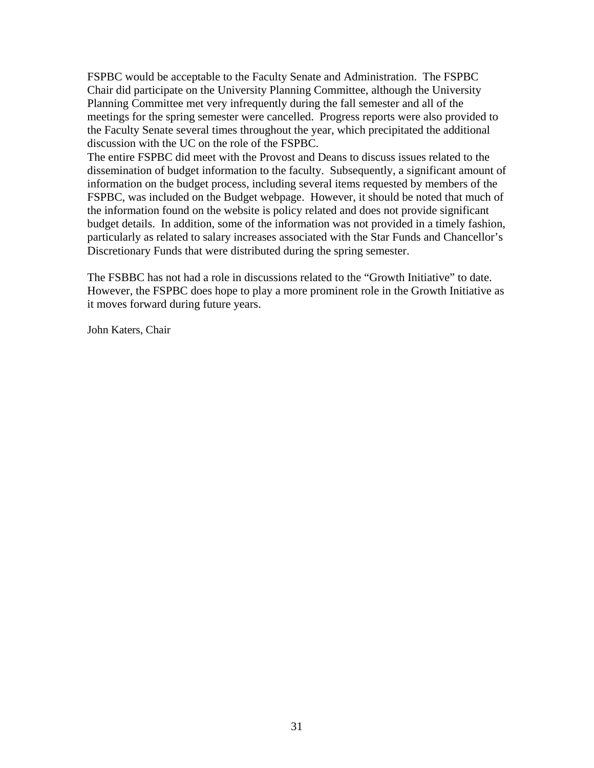FSPBC would be acceptable to the Faculty Senate and Administration. The FSPBC Chair did participate on the University Planning Committee, although the University Planning Committee met very infrequently during the fall semester and all of the meetings for the spring semester were cancelled. Progress reports were also provided to the Faculty Senate several times throughout the year, which precipitated the additional discussion with the UC on the role of the FSPBC.

The entire FSPBC did meet with the Provost and Deans to discuss issues related to the dissemination of budget information to the faculty. Subsequently, a significant amount of information on the budget process, including several items requested by members of the FSPBC, was included on the Budget webpage. However, it should be noted that much of the information found on the website is policy related and does not provide significant budget details. In addition, some of the information was not provided in a timely fashion, particularly as related to salary increases associated with the Star Funds and Chancellor's Discretionary Funds that were distributed during the spring semester.

The FSBBC has not had a role in discussions related to the "Growth Initiative" to date. However, the FSPBC does hope to play a more prominent role in the Growth Initiative as it moves forward during future years.

John Katers, Chair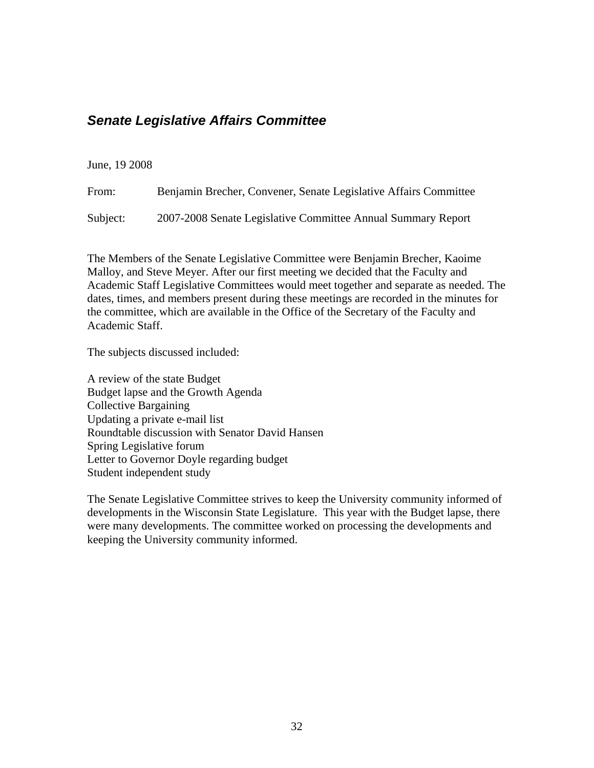### <span id="page-31-0"></span>*Senate Legislative Affairs Committee*

### June, 19 2008

| From: | Benjamin Brecher, Convener, Senate Legislative Affairs Committee |
|-------|------------------------------------------------------------------|
|       |                                                                  |

Subject: 2007-2008 Senate Legislative Committee Annual Summary Report

The Members of the Senate Legislative Committee were Benjamin Brecher, Kaoime Malloy, and Steve Meyer. After our first meeting we decided that the Faculty and Academic Staff Legislative Committees would meet together and separate as needed. The dates, times, and members present during these meetings are recorded in the minutes for the committee, which are available in the Office of the Secretary of the Faculty and Academic Staff.

The subjects discussed included:

A review of the state Budget Budget lapse and the Growth Agenda Collective Bargaining Updating a private e-mail list Roundtable discussion with Senator David Hansen Spring Legislative forum Letter to Governor Doyle regarding budget Student independent study

The Senate Legislative Committee strives to keep the University community informed of developments in the Wisconsin State Legislature. This year with the Budget lapse, there were many developments. The committee worked on processing the developments and keeping the University community informed.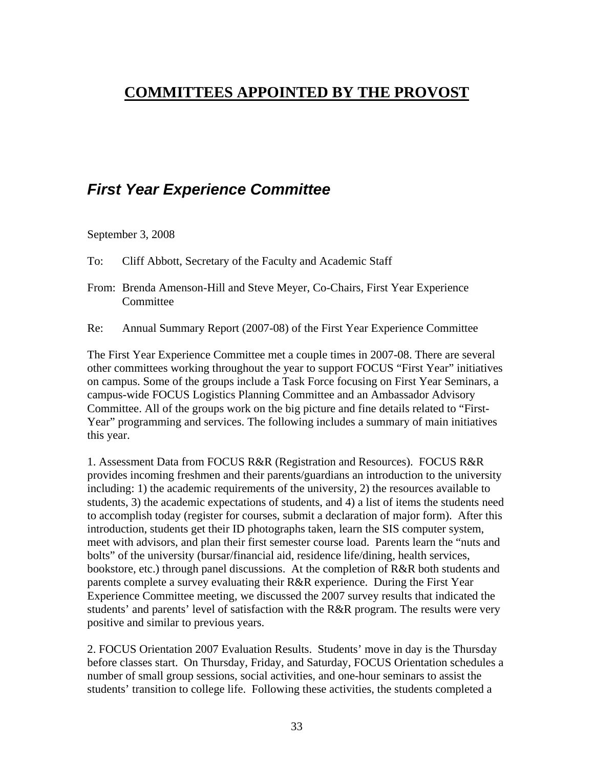# <span id="page-32-0"></span>**COMMITTEES APPOINTED BY THE PROVOST**

# *First Year Experience Committee*

September 3, 2008

To: Cliff Abbott, Secretary of the Faculty and Academic Staff

- From: Brenda Amenson-Hill and Steve Meyer, Co-Chairs, First Year Experience **Committee**
- Re: Annual Summary Report (2007-08) of the First Year Experience Committee

The First Year Experience Committee met a couple times in 2007-08. There are several other committees working throughout the year to support FOCUS "First Year" initiatives on campus. Some of the groups include a Task Force focusing on First Year Seminars, a campus-wide FOCUS Logistics Planning Committee and an Ambassador Advisory Committee. All of the groups work on the big picture and fine details related to "First-Year" programming and services. The following includes a summary of main initiatives this year.

1. Assessment Data from FOCUS R&R (Registration and Resources). FOCUS R&R provides incoming freshmen and their parents/guardians an introduction to the university including: 1) the academic requirements of the university, 2) the resources available to students, 3) the academic expectations of students, and 4) a list of items the students need to accomplish today (register for courses, submit a declaration of major form). After this introduction, students get their ID photographs taken, learn the SIS computer system, meet with advisors, and plan their first semester course load. Parents learn the "nuts and bolts" of the university (bursar/financial aid, residence life/dining, health services, bookstore, etc.) through panel discussions. At the completion of R&R both students and parents complete a survey evaluating their R&R experience. During the First Year Experience Committee meeting, we discussed the 2007 survey results that indicated the students' and parents' level of satisfaction with the R&R program. The results were very positive and similar to previous years.

2. FOCUS Orientation 2007 Evaluation Results. Students' move in day is the Thursday before classes start. On Thursday, Friday, and Saturday, FOCUS Orientation schedules a number of small group sessions, social activities, and one-hour seminars to assist the students' transition to college life. Following these activities, the students completed a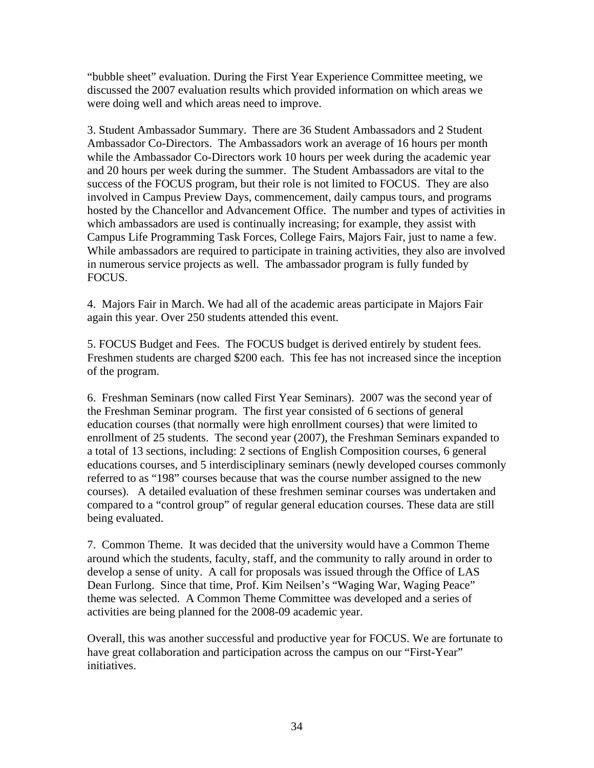"bubble sheet" evaluation. During the First Year Experience Committee meeting, we discussed the 2007 evaluation results which provided information on which areas we were doing well and which areas need to improve.

3. Student Ambassador Summary. There are 36 Student Ambassadors and 2 Student Ambassador Co-Directors. The Ambassadors work an average of 16 hours per month while the Ambassador Co-Directors work 10 hours per week during the academic year and 20 hours per week during the summer. The Student Ambassadors are vital to the success of the FOCUS program, but their role is not limited to FOCUS. They are also involved in Campus Preview Days, commencement, daily campus tours, and programs hosted by the Chancellor and Advancement Office. The number and types of activities in which ambassadors are used is continually increasing; for example, they assist with Campus Life Programming Task Forces, College Fairs, Majors Fair, just to name a few. While ambassadors are required to participate in training activities, they also are involved in numerous service projects as well. The ambassador program is fully funded by FOCUS.

4. Majors Fair in March. We had all of the academic areas participate in Majors Fair again this year. Over 250 students attended this event.

5. FOCUS Budget and Fees. The FOCUS budget is derived entirely by student fees. Freshmen students are charged \$200 each. This fee has not increased since the inception of the program.

6. Freshman Seminars (now called First Year Seminars). 2007 was the second year of the Freshman Seminar program. The first year consisted of 6 sections of general education courses (that normally were high enrollment courses) that were limited to enrollment of 25 students. The second year (2007), the Freshman Seminars expanded to a total of 13 sections, including: 2 sections of English Composition courses, 6 general educations courses, and 5 interdisciplinary seminars (newly developed courses commonly referred to as "198" courses because that was the course number assigned to the new courses). A detailed evaluation of these freshmen seminar courses was undertaken and compared to a "control group" of regular general education courses. These data are still being evaluated.

7. Common Theme. It was decided that the university would have a Common Theme around which the students, faculty, staff, and the community to rally around in order to develop a sense of unity. A call for proposals was issued through the Office of LAS Dean Furlong. Since that time, Prof. Kim Neilsen's "Waging War, Waging Peace" theme was selected. A Common Theme Committee was developed and a series of activities are being planned for the 2008-09 academic year.

Overall, this was another successful and productive year for FOCUS. We are fortunate to have great collaboration and participation across the campus on our "First-Year" initiatives.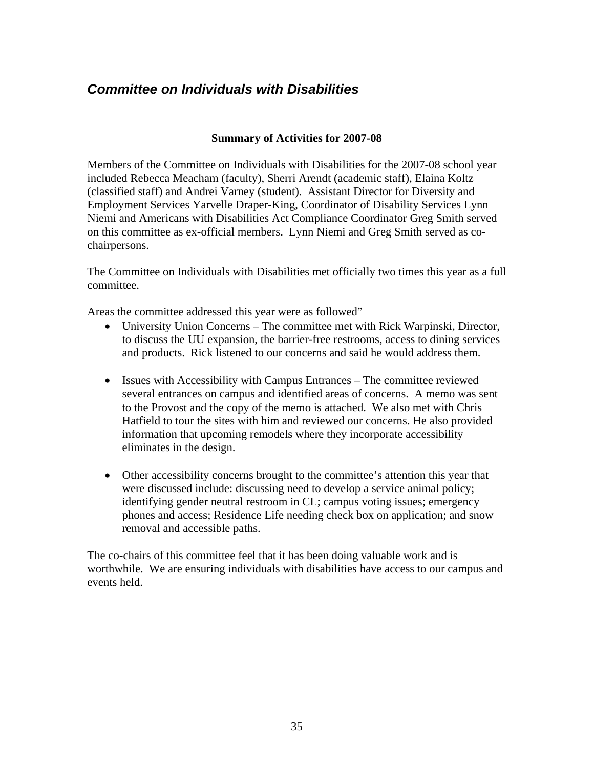### <span id="page-34-0"></span>*Committee on Individuals with Disabilities*

### **Summary of Activities for 2007-08**

Members of the Committee on Individuals with Disabilities for the 2007-08 school year included Rebecca Meacham (faculty), Sherri Arendt (academic staff), Elaina Koltz (classified staff) and Andrei Varney (student). Assistant Director for Diversity and Employment Services Yarvelle Draper-King, Coordinator of Disability Services Lynn Niemi and Americans with Disabilities Act Compliance Coordinator Greg Smith served on this committee as ex-official members. Lynn Niemi and Greg Smith served as cochairpersons.

The Committee on Individuals with Disabilities met officially two times this year as a full committee.

Areas the committee addressed this year were as followed"

- University Union Concerns The committee met with Rick Warpinski, Director, to discuss the UU expansion, the barrier-free restrooms, access to dining services and products. Rick listened to our concerns and said he would address them.
- Issues with Accessibility with Campus Entrances The committee reviewed several entrances on campus and identified areas of concerns. A memo was sent to the Provost and the copy of the memo is attached. We also met with Chris Hatfield to tour the sites with him and reviewed our concerns. He also provided information that upcoming remodels where they incorporate accessibility eliminates in the design.
- Other accessibility concerns brought to the committee's attention this year that were discussed include: discussing need to develop a service animal policy; identifying gender neutral restroom in CL; campus voting issues; emergency phones and access; Residence Life needing check box on application; and snow removal and accessible paths.

The co-chairs of this committee feel that it has been doing valuable work and is worthwhile. We are ensuring individuals with disabilities have access to our campus and events held.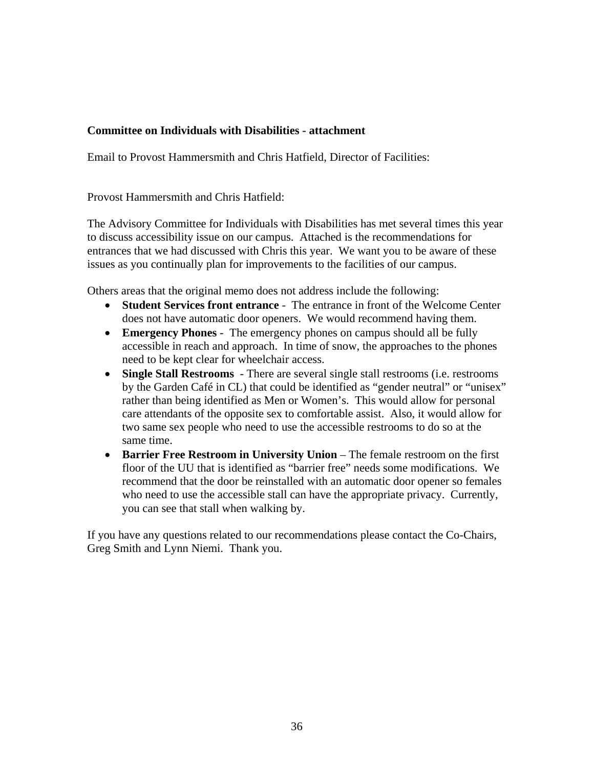### **Committee on Individuals with Disabilities - attachment**

Email to Provost Hammersmith and Chris Hatfield, Director of Facilities:

Provost Hammersmith and Chris Hatfield:

The Advisory Committee for Individuals with Disabilities has met several times this year to discuss accessibility issue on our campus. Attached is the recommendations for entrances that we had discussed with Chris this year. We want you to be aware of these issues as you continually plan for improvements to the facilities of our campus.

Others areas that the original memo does not address include the following:

- **Student Services front entrance** The entrance in front of the Welcome Center does not have automatic door openers. We would recommend having them.
- **Emergency Phones** The emergency phones on campus should all be fully accessible in reach and approach. In time of snow, the approaches to the phones need to be kept clear for wheelchair access.
- **Single Stall Restrooms**  There are several single stall restrooms (i.e. restrooms by the Garden Café in CL) that could be identified as "gender neutral" or "unisex" rather than being identified as Men or Women's. This would allow for personal care attendants of the opposite sex to comfortable assist. Also, it would allow for two same sex people who need to use the accessible restrooms to do so at the same time.
- **Barrier Free Restroom in University Union** The female restroom on the first floor of the UU that is identified as "barrier free" needs some modifications. We recommend that the door be reinstalled with an automatic door opener so females who need to use the accessible stall can have the appropriate privacy. Currently, you can see that stall when walking by.

If you have any questions related to our recommendations please contact the Co-Chairs, Greg Smith and Lynn Niemi. Thank you.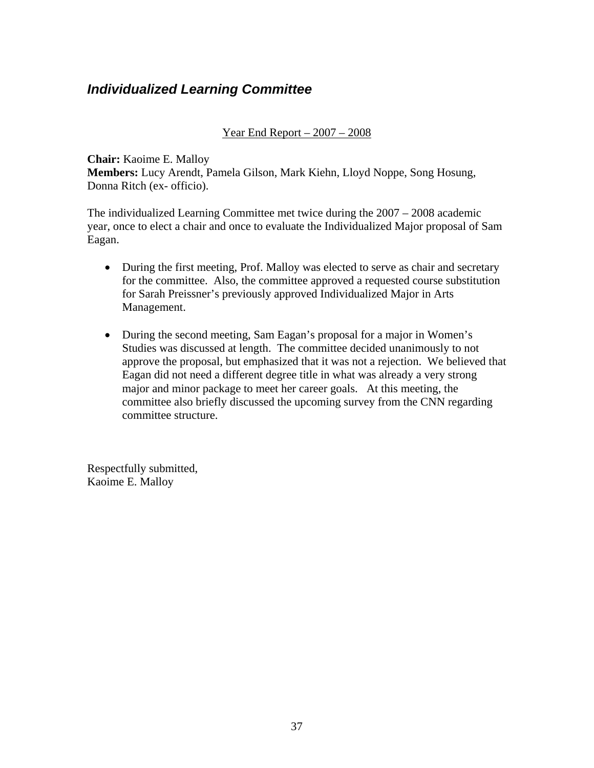### <span id="page-36-0"></span>*Individualized Learning Committee*

### Year End Report  $-2007 - 2008$

**Chair:** Kaoime E. Malloy **Members:** Lucy Arendt, Pamela Gilson, Mark Kiehn, Lloyd Noppe, Song Hosung, Donna Ritch (ex- officio).

The individualized Learning Committee met twice during the 2007 – 2008 academic year, once to elect a chair and once to evaluate the Individualized Major proposal of Sam Eagan.

- During the first meeting, Prof. Malloy was elected to serve as chair and secretary for the committee. Also, the committee approved a requested course substitution for Sarah Preissner's previously approved Individualized Major in Arts Management.
- During the second meeting, Sam Eagan's proposal for a major in Women's Studies was discussed at length. The committee decided unanimously to not approve the proposal, but emphasized that it was not a rejection. We believed that Eagan did not need a different degree title in what was already a very strong major and minor package to meet her career goals. At this meeting, the committee also briefly discussed the upcoming survey from the CNN regarding committee structure.

Respectfully submitted, Kaoime E. Malloy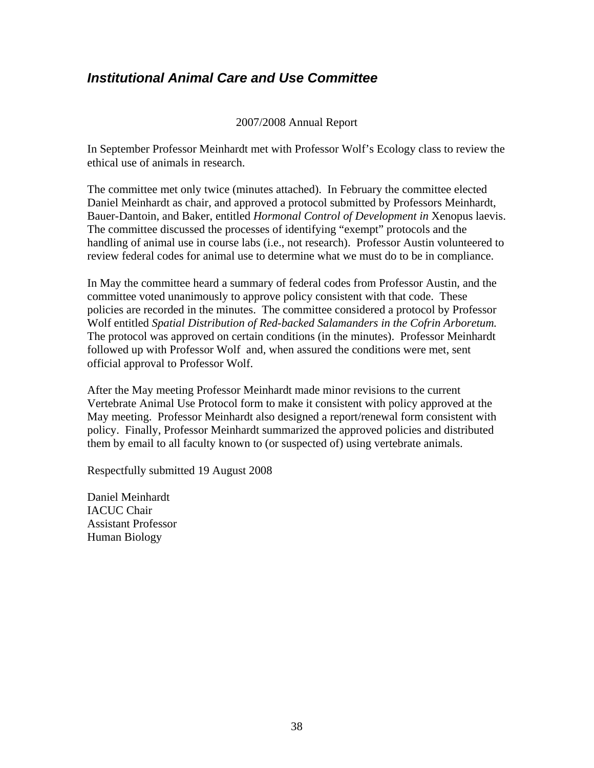### <span id="page-37-0"></span>*Institutional Animal Care and Use Committee*

### 2007/2008 Annual Report

In September Professor Meinhardt met with Professor Wolf's Ecology class to review the ethical use of animals in research.

The committee met only twice (minutes attached). In February the committee elected Daniel Meinhardt as chair, and approved a protocol submitted by Professors Meinhardt, Bauer-Dantoin, and Baker, entitled *Hormonal Control of Development in* Xenopus laevis. The committee discussed the processes of identifying "exempt" protocols and the handling of animal use in course labs (i.e., not research). Professor Austin volunteered to review federal codes for animal use to determine what we must do to be in compliance.

In May the committee heard a summary of federal codes from Professor Austin, and the committee voted unanimously to approve policy consistent with that code. These policies are recorded in the minutes. The committee considered a protocol by Professor Wolf entitled *Spatial Distribution of Red-backed Salamanders in the Cofrin Arboretum.*  The protocol was approved on certain conditions (in the minutes). Professor Meinhardt followed up with Professor Wolf and, when assured the conditions were met, sent official approval to Professor Wolf.

After the May meeting Professor Meinhardt made minor revisions to the current Vertebrate Animal Use Protocol form to make it consistent with policy approved at the May meeting. Professor Meinhardt also designed a report/renewal form consistent with policy. Finally, Professor Meinhardt summarized the approved policies and distributed them by email to all faculty known to (or suspected of) using vertebrate animals.

Respectfully submitted 19 August 2008

Daniel Meinhardt IACUC Chair Assistant Professor Human Biology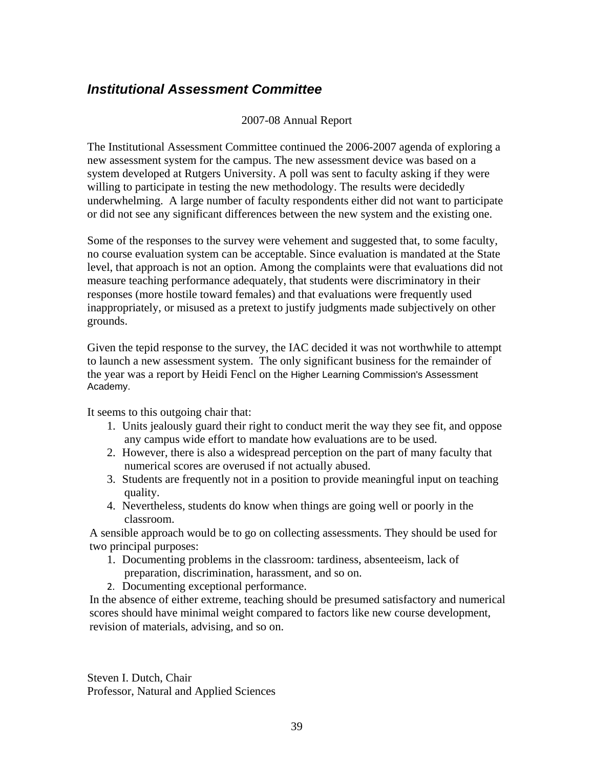### <span id="page-38-0"></span>*Institutional Assessment Committee*

### 2007-08 Annual Report

The Institutional Assessment Committee continued the 2006-2007 agenda of exploring a new assessment system for the campus. The new assessment device was based on a system developed at Rutgers University. A poll was sent to faculty asking if they were willing to participate in testing the new methodology. The results were decidedly underwhelming. A large number of faculty respondents either did not want to participate or did not see any significant differences between the new system and the existing one.

Some of the responses to the survey were vehement and suggested that, to some faculty, no course evaluation system can be acceptable. Since evaluation is mandated at the State level, that approach is not an option. Among the complaints were that evaluations did not measure teaching performance adequately, that students were discriminatory in their responses (more hostile toward females) and that evaluations were frequently used inappropriately, or misused as a pretext to justify judgments made subjectively on other grounds.

Given the tepid response to the survey, the IAC decided it was not worthwhile to attempt to launch a new assessment system. The only significant business for the remainder of the year was a report by Heidi Fencl on the Higher Learning Commission's Assessment Academy.

It seems to this outgoing chair that:

- 1. Units jealously guard their right to conduct merit the way they see fit, and oppose any campus wide effort to mandate how evaluations are to be used.
- 2. However, there is also a widespread perception on the part of many faculty that numerical scores are overused if not actually abused.
- 3. Students are frequently not in a position to provide meaningful input on teaching quality.
- 4. Nevertheless, students do know when things are going well or poorly in the classroom.

A sensible approach would be to go on collecting assessments. They should be used for two principal purposes:

- 1. Documenting problems in the classroom: tardiness, absenteeism, lack of preparation, discrimination, harassment, and so on.
- 2. Documenting exceptional performance.

In the absence of either extreme, teaching should be presumed satisfactory and numerical scores should have minimal weight compared to factors like new course development, revision of materials, advising, and so on.

Steven I. Dutch, Chair Professor, Natural and Applied Sciences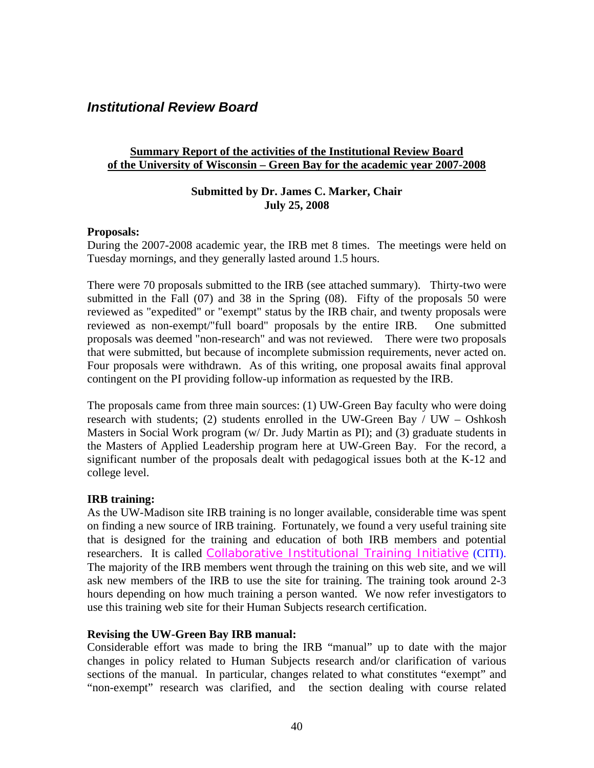### <span id="page-39-0"></span>*Institutional Review Board*

### **Summary Report of the activities of the Institutional Review Board of the University of Wisconsin – Green Bay for the academic year 2007-2008**

### **Submitted by Dr. James C. Marker, Chair July 25, 2008**

#### **Proposals:**

During the 2007-2008 academic year, the IRB met 8 times. The meetings were held on Tuesday mornings, and they generally lasted around 1.5 hours.

There were 70 proposals submitted to the IRB (see attached summary). Thirty-two were submitted in the Fall (07) and 38 in the Spring (08). Fifty of the proposals 50 were reviewed as "expedited" or "exempt" status by the IRB chair, and twenty proposals were reviewed as non-exempt/"full board" proposals by the entire IRB. One submitted proposals was deemed "non-research" and was not reviewed. There were two proposals that were submitted, but because of incomplete submission requirements, never acted on. Four proposals were withdrawn. As of this writing, one proposal awaits final approval contingent on the PI providing follow-up information as requested by the IRB.

The proposals came from three main sources: (1) UW-Green Bay faculty who were doing research with students; (2) students enrolled in the UW-Green Bay / UW – Oshkosh Masters in Social Work program (w/ Dr. Judy Martin as PI); and (3) graduate students in the Masters of Applied Leadership program here at UW-Green Bay. For the record, a significant number of the proposals dealt with pedagogical issues both at the K-12 and college level.

### **IRB training:**

As the UW-Madison site IRB training is no longer available, considerable time was spent on finding a new source of IRB training. Fortunately, we found a very useful training site that is designed for the training and education of both IRB members and potential researchers. It is called [Collaborative Institutional Training Initiative](https://www.citiprogram.org/) (CITI). The majority of the IRB members went through the training on this web site, and we will ask new members of the IRB to use the site for training. The training took around 2-3 hours depending on how much training a person wanted. We now refer investigators to use this training web site for their Human Subjects research certification.

### **Revising the UW-Green Bay IRB manual:**

Considerable effort was made to bring the IRB "manual" up to date with the major changes in policy related to Human Subjects research and/or clarification of various sections of the manual. In particular, changes related to what constitutes "exempt" and "non-exempt" research was clarified, and the section dealing with course related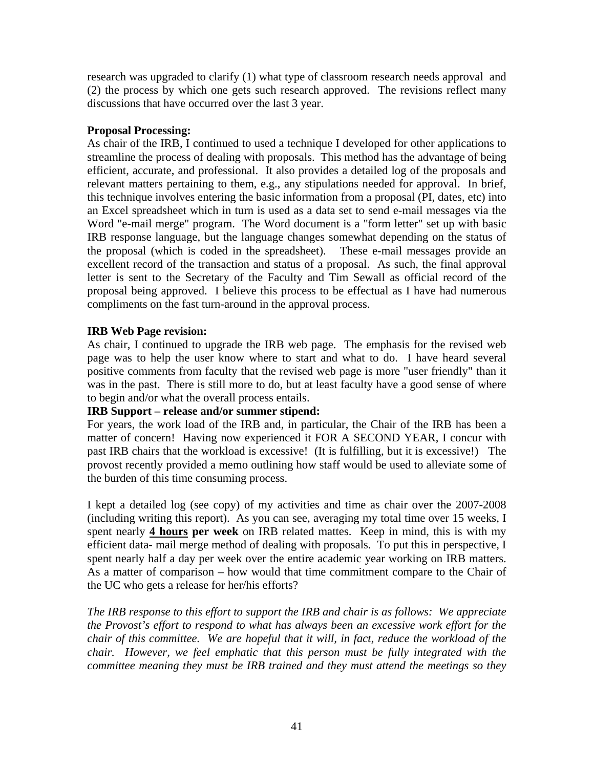research was upgraded to clarify (1) what type of classroom research needs approval and (2) the process by which one gets such research approved. The revisions reflect many discussions that have occurred over the last 3 year.

### **Proposal Processing:**

As chair of the IRB, I continued to used a technique I developed for other applications to streamline the process of dealing with proposals. This method has the advantage of being efficient, accurate, and professional. It also provides a detailed log of the proposals and relevant matters pertaining to them, e.g., any stipulations needed for approval. In brief, this technique involves entering the basic information from a proposal (PI, dates, etc) into an Excel spreadsheet which in turn is used as a data set to send e-mail messages via the Word "e-mail merge" program. The Word document is a "form letter" set up with basic IRB response language, but the language changes somewhat depending on the status of the proposal (which is coded in the spreadsheet). These e-mail messages provide an excellent record of the transaction and status of a proposal. As such, the final approval letter is sent to the Secretary of the Faculty and Tim Sewall as official record of the proposal being approved. I believe this process to be effectual as I have had numerous compliments on the fast turn-around in the approval process.

### **IRB Web Page revision:**

As chair, I continued to upgrade the IRB web page. The emphasis for the revised web page was to help the user know where to start and what to do. I have heard several positive comments from faculty that the revised web page is more "user friendly" than it was in the past. There is still more to do, but at least faculty have a good sense of where to begin and/or what the overall process entails.

### **IRB Support – release and/or summer stipend:**

For years, the work load of the IRB and, in particular, the Chair of the IRB has been a matter of concern! Having now experienced it FOR A SECOND YEAR, I concur with past IRB chairs that the workload is excessive! (It is fulfilling, but it is excessive!) The provost recently provided a memo outlining how staff would be used to alleviate some of the burden of this time consuming process.

I kept a detailed log (see copy) of my activities and time as chair over the 2007-2008 (including writing this report). As you can see, averaging my total time over 15 weeks, I spent nearly **4 hours per week** on IRB related mattes. Keep in mind, this is with my efficient data- mail merge method of dealing with proposals. To put this in perspective, I spent nearly half a day per week over the entire academic year working on IRB matters. As a matter of comparison – how would that time commitment compare to the Chair of the UC who gets a release for her/his efforts?

*The IRB response to this effort to support the IRB and chair is as follows: We appreciate the Provost's effort to respond to what has always been an excessive work effort for the chair of this committee. We are hopeful that it will, in fact, reduce the workload of the chair. However, we feel emphatic that this person must be fully integrated with the committee meaning they must be IRB trained and they must attend the meetings so they*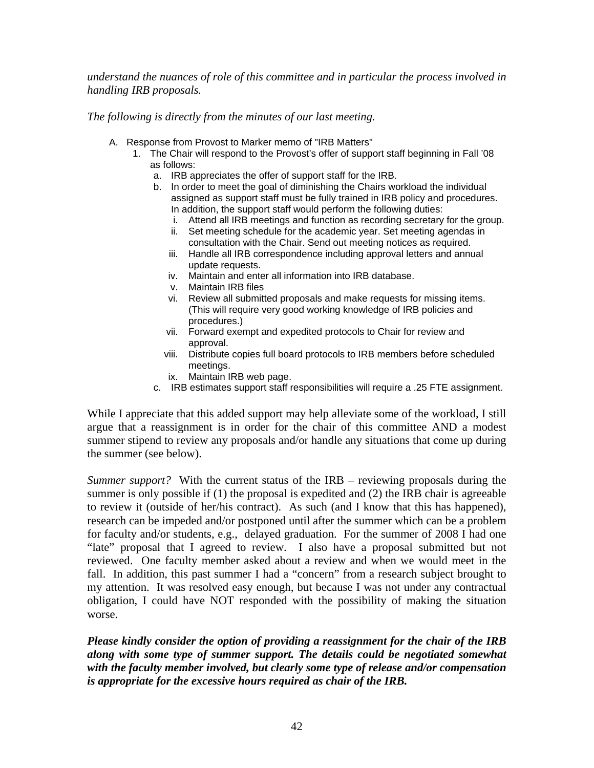*understand the nuances of role of this committee and in particular the process involved in handling IRB proposals.* 

*The following is directly from the minutes of our last meeting.* 

- A. Response from Provost to Marker memo of "IRB Matters"
	- 1. The Chair will respond to the Provost's offer of support staff beginning in Fall '08 as follows:
		- a. IRB appreciates the offer of support staff for the IRB.
		- b. In order to meet the goal of diminishing the Chairs workload the individual assigned as support staff must be fully trained in IRB policy and procedures. In addition, the support staff would perform the following duties:
			- i. Attend all IRB meetings and function as recording secretary for the group.
			- ii. Set meeting schedule for the academic year. Set meeting agendas in consultation with the Chair. Send out meeting notices as required.
			- iii. Handle all IRB correspondence including approval letters and annual update requests.
			- iv. Maintain and enter all information into IRB database.
			- v. Maintain IRB files
			- vi. Review all submitted proposals and make requests for missing items. (This will require very good working knowledge of IRB policies and procedures.)
			- vii. Forward exempt and expedited protocols to Chair for review and approval.
			- viii. Distribute copies full board protocols to IRB members before scheduled meetings.
			- ix. Maintain IRB web page.
		- c. IRB estimates support staff responsibilities will require a .25 FTE assignment.

While I appreciate that this added support may help alleviate some of the workload, I still argue that a reassignment is in order for the chair of this committee AND a modest summer stipend to review any proposals and/or handle any situations that come up during the summer (see below).

*Summer support?* With the current status of the IRB – reviewing proposals during the summer is only possible if (1) the proposal is expedited and (2) the IRB chair is agreeable to review it (outside of her/his contract). As such (and I know that this has happened), research can be impeded and/or postponed until after the summer which can be a problem for faculty and/or students, e.g., delayed graduation. For the summer of 2008 I had one "late" proposal that I agreed to review. I also have a proposal submitted but not reviewed. One faculty member asked about a review and when we would meet in the fall. In addition, this past summer I had a "concern" from a research subject brought to my attention. It was resolved easy enough, but because I was not under any contractual obligation, I could have NOT responded with the possibility of making the situation worse.

*Please kindly consider the option of providing a reassignment for the chair of the IRB along with some type of summer support. The details could be negotiated somewhat with the faculty member involved, but clearly some type of release and/or compensation is appropriate for the excessive hours required as chair of the IRB.*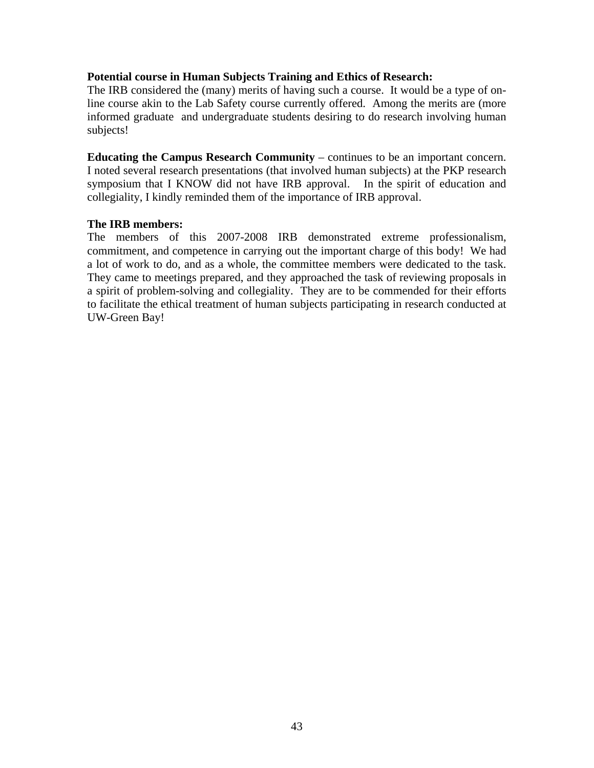#### **Potential course in Human Subjects Training and Ethics of Research:**

The IRB considered the (many) merits of having such a course. It would be a type of online course akin to the Lab Safety course currently offered. Among the merits are (more informed graduate and undergraduate students desiring to do research involving human subjects!

**Educating the Campus Research Community** – continues to be an important concern. I noted several research presentations (that involved human subjects) at the PKP research symposium that I KNOW did not have IRB approval. In the spirit of education and collegiality, I kindly reminded them of the importance of IRB approval.

#### **The IRB members:**

The members of this 2007-2008 IRB demonstrated extreme professionalism, commitment, and competence in carrying out the important charge of this body! We had a lot of work to do, and as a whole, the committee members were dedicated to the task. They came to meetings prepared, and they approached the task of reviewing proposals in a spirit of problem-solving and collegiality. They are to be commended for their efforts to facilitate the ethical treatment of human subjects participating in research conducted at UW-Green Bay!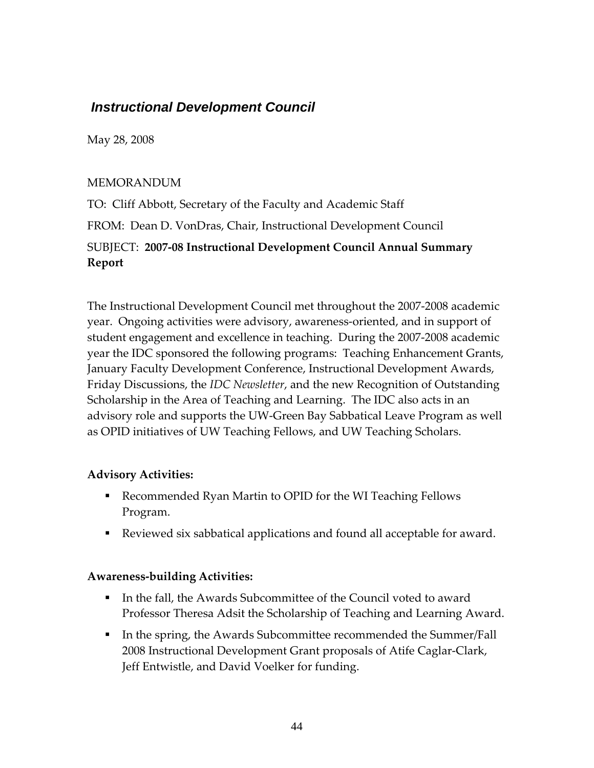### <span id="page-43-0"></span> *Instructional Development Council*

May 28, 2008

### MEMORANDUM

TO: Cliff Abbott, Secretary of the Faculty and Academic Staff FROM: Dean D. VonDras, Chair, Instructional Development Council

### SUBJECT: **2007‐08 Instructional Development Council Annual Summary Report**

The Instructional Development Council met throughout the 2007‐2008 academic year. Ongoing activities were advisory, awareness‐oriented, and in support of student engagement and excellence in teaching. During the 2007‐2008 academic year the IDC sponsored the following programs: Teaching Enhancement Grants, January Faculty Development Conference, Instructional Development Awards, Friday Discussions, the *IDC Newsletter*, and the new Recognition of Outstanding Scholarship in the Area of Teaching and Learning. The IDC also acts in an advisory role and supports the UW‐Green Bay Sabbatical Leave Program as well as OPID initiatives of UW Teaching Fellows, and UW Teaching Scholars.

### **Advisory Activities:**

- Recommended Ryan Martin to OPID for the WI Teaching Fellows Program.
- Reviewed six sabbatical applications and found all acceptable for award.

### **Awareness‐building Activities:**

- In the fall, the Awards Subcommittee of the Council voted to award Professor Theresa Adsit the Scholarship of Teaching and Learning Award.
- In the spring, the Awards Subcommittee recommended the Summer/Fall 2008 Instructional Development Grant proposals of Atife Caglar‐Clark, Jeff Entwistle, and David Voelker for funding.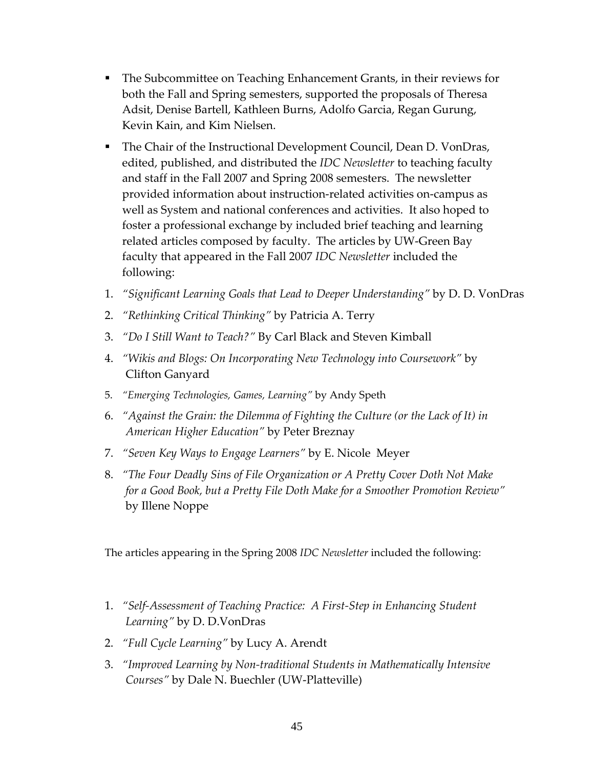- The Subcommittee on Teaching Enhancement Grants, in their reviews for both the Fall and Spring semesters, supported the proposals of Theresa Adsit, Denise Bartell, Kathleen Burns, Adolfo Garcia, Regan Gurung, Kevin Kain, and Kim Nielsen.
- The Chair of the Instructional Development Council, Dean D. VonDras, edited, published, and distributed the *IDC Newsletter* to teaching faculty and staff in the Fall 2007 and Spring 2008 semesters. The newsletter provided information about instruction‐related activities on‐campus as well as System and national conferences and activities. It also hoped to foster a professional exchange by included brief teaching and learning related articles composed by faculty. The articles by UW‐Green Bay faculty that appeared in the Fall 2007 *IDC Newsletter* included the following:
- 1. *"Significant Learning Goals that Lead to Deeper Understanding"* by D. D. VonDras
- 2. *"Rethinking Critical Thinking"* by Patricia A. Terry
- 3. *"Do I Still Want to Teach?"* By Carl Black and Steven Kimball
- 4. *"Wikis and Blogs: On Incorporating New Technology into Coursework"* by Clifton Ganyard
- 5. *"Emerging Technologies, Games, Learning"* by Andy Speth
- 6. *"Against the Grain: the Dilemma of Fighting the Culture (or the Lack of It) in American Higher Education"* by Peter Breznay
- 7. *"Seven Key Ways to Engage Learners"* by E. Nicole Meyer
- 8. *"The Four Deadly Sins of File Organization or A Pretty Cover Doth Not Make for a Good Book, but a Pretty File Doth Make for a Smoother Promotion Review"* by Illene Noppe

The articles appearing in the Spring 2008 *IDC Newsletter* included the following:

- 1. *"Self‐Assessment of Teaching Practice: A First‐Step in Enhancing Student Learning"* by D. D.VonDras
- 2. *"Full Cycle Learning"* by Lucy A. Arendt
- 3. *"Improved Learning by Non‐traditional Students in Mathematically Intensive Courses"* by Dale N. Buechler (UW‐Platteville)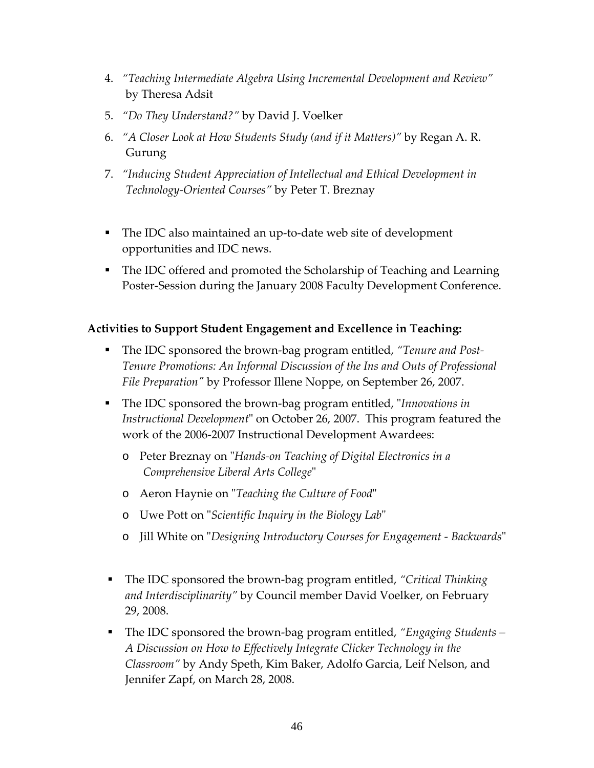- 4. *"Teaching Intermediate Algebra Using Incremental Development and Review"* by Theresa Adsit
- 5. *"Do They Understand?"* by David J. Voelker
- 6. *"A Closer Look at How Students Study (and if it Matters)"* by Regan A. R. Gurung
- 7. *"Inducing Student Appreciation of Intellectual and Ethical Development in Technology‐Oriented Courses"* by Peter T. Breznay
- The IDC also maintained an up-to-date web site of development opportunities and IDC news.
- The IDC offered and promoted the Scholarship of Teaching and Learning Poster‐Session during the January 2008 Faculty Development Conference.

### **Activities to Support Student Engagement and Excellence in Teaching:**

- The IDC sponsored the brown-bag program entitled, "Tenure and Post-*Tenure Promotions: An Informal Discussion of the Ins and Outs of Professional File Preparationʺ* by Professor Illene Noppe, on September 26, 2007.
- The IDC sponsored the brown-bag program entitled, "*Innovations in Instructional Development*" on October 26, 2007. This program featured the work of the 2006‐2007 Instructional Development Awardees:
	- o Peter Breznay on ʺ*Hands‐on Teaching of Digital Electronics in a Comprehensive Liberal Arts College*ʺ
	- o Aeron Haynie on ʺ*Teaching the Culture of Food*ʺ
	- o Uwe Pott on ʺ*Scientific Inquiry in the Biology Lab*ʺ
	- o Jill White on ʺ*Designing Introductory Courses for Engagement ‐ Backwards*ʺ
- The IDC sponsored the brown-bag program entitled, *"Critical Thinking and Interdisciplinarity"* by Council member David Voelker, on February 29, 2008.
- The IDC sponsored the brown-bag program entitled, *"Engaging Students A Discussion on How to Effectively Integrate Clicker Technology in the Classroom"* by Andy Speth, Kim Baker, Adolfo Garcia, Leif Nelson, and Jennifer Zapf, on March 28, 2008.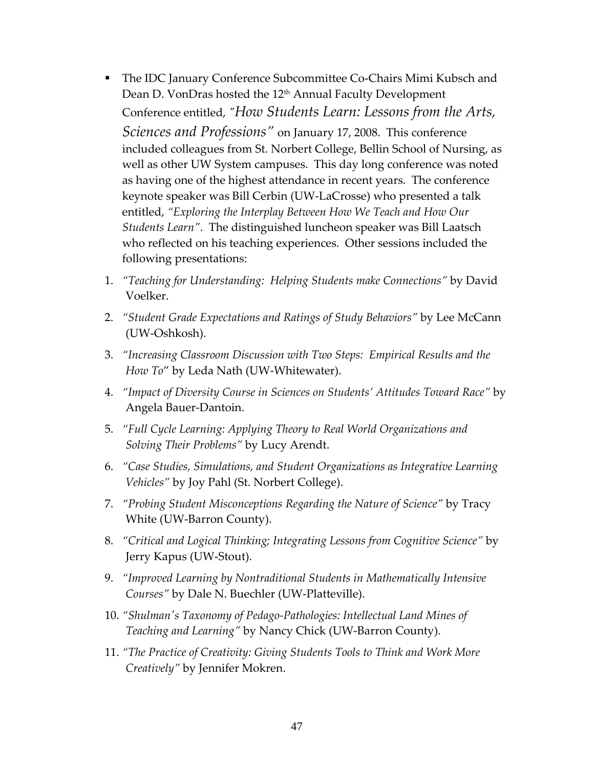- The IDC January Conference Subcommittee Co-Chairs Mimi Kubsch and Dean D. VonDras hosted the 12<sup>th</sup> Annual Faculty Development Conference entitled, *ʺHow Students Learn: Lessons from the Arts, Sciences and Professions"* on January 17, 2008. This conference included colleagues from St. Norbert College, Bellin School of Nursing, as well as other UW System campuses. This day long conference was noted as having one of the highest attendance in recent years. The conference keynote speaker was Bill Cerbin (UW‐LaCrosse) who presented a talk entitled, *"Exploring the Interplay Between How We Teach and How Our Students Learn"*. The distinguished luncheon speaker was Bill Laatsch who reflected on his teaching experiences. Other sessions included the following presentations:
- 1. *"Teaching for Understanding: Helping Students make Connections"* by David Voelker.
- 2. *"Student Grade Expectations and Ratings of Study Behaviors"* by Lee McCann (UW‐Oshkosh).
- 3. *"Increasing Classroom Discussion with Two Steps: Empirical Results and the How To*" by Leda Nath (UW‐Whitewater).
- 4. *"Impact of Diversity Course in Sciences on Students' Attitudes Toward Race"* by Angela Bauer‐Dantoin.
- 5. *"Full Cycle Learning: Applying Theory to Real World Organizations and Solving Their Problems"* by Lucy Arendt.
- 6. *"Case Studies, Simulations, and Student Organizations as Integrative Learning Vehicles"* by Joy Pahl (St. Norbert College).
- 7. *"Probing Student Misconceptions Regarding the Nature of Science"* by Tracy White (UW‐Barron County).
- 8. *"Critical and Logical Thinking; Integrating Lessons from Cognitive Science"* by Jerry Kapus (UW‐Stout).
- 9. *"Improved Learning by Nontraditional Students in Mathematically Intensive Courses"* by Dale N. Buechler (UW‐Platteville).
- 10. *"Shulmanʹs Taxonomy of Pedago‐Pathologies: Intellectual Land Mines of Teaching and Learning"* by Nancy Chick (UW‐Barron County).
- 11. *"The Practice of Creativity: Giving Students Tools to Think and Work More Creatively"* by Jennifer Mokren.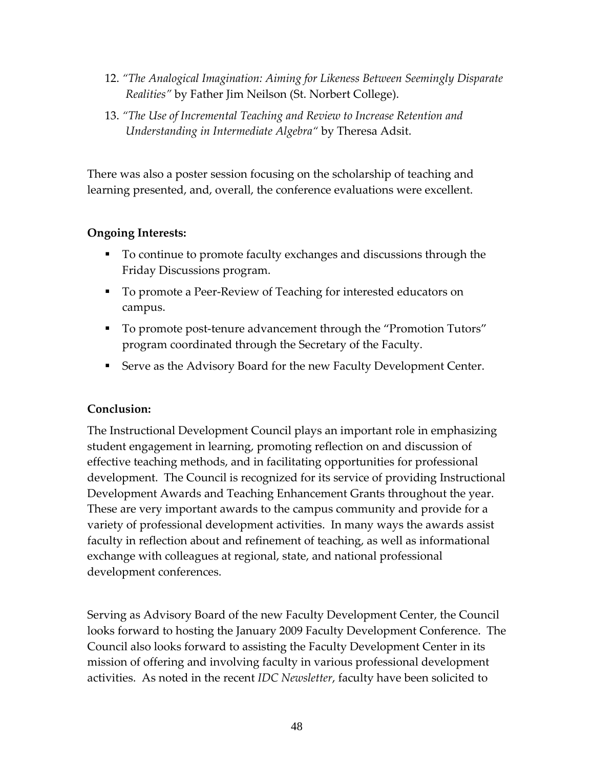- 12. *"The Analogical Imagination: Aiming for Likeness Between Seemingly Disparate Realities"* by Father Jim Neilson (St. Norbert College).
- 13. *"The Use of Incremental Teaching and Review to Increase Retention and Understanding in Intermediate Algebra"* by Theresa Adsit.

There was also a poster session focusing on the scholarship of teaching and learning presented, and, overall, the conference evaluations were excellent.

### **Ongoing Interests:**

- To continue to promote faculty exchanges and discussions through the Friday Discussions program.
- To promote a Peer-Review of Teaching for interested educators on campus.
- To promote post-tenure advancement through the "Promotion Tutors" program coordinated through the Secretary of the Faculty.
- **Example 3 Serve as the Advisory Board for the new Faculty Development Center.**

### **Conclusion:**

The Instructional Development Council plays an important role in emphasizing student engagement in learning, promoting reflection on and discussion of effective teaching methods, and in facilitating opportunities for professional development. The Council is recognized for its service of providing Instructional Development Awards and Teaching Enhancement Grants throughout the year. These are very important awards to the campus community and provide for a variety of professional development activities. In many ways the awards assist faculty in reflection about and refinement of teaching, as well as informational exchange with colleagues at regional, state, and national professional development conferences.

Serving as Advisory Board of the new Faculty Development Center, the Council looks forward to hosting the January 2009 Faculty Development Conference. The Council also looks forward to assisting the Faculty Development Center in its mission of offering and involving faculty in various professional development activities. As noted in the recent *IDC Newsletter*, faculty have been solicited to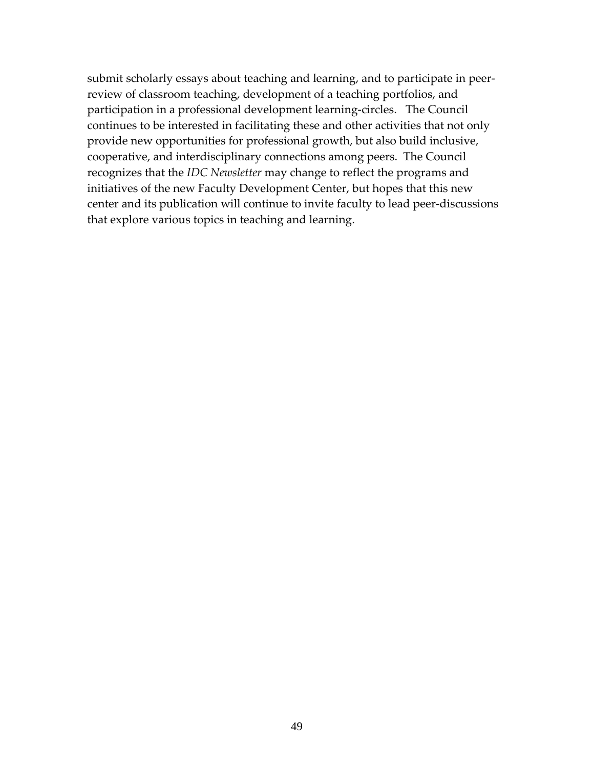submit scholarly essays about teaching and learning, and to participate in peer‐ review of classroom teaching, development of a teaching portfolios, and participation in a professional development learning‐circles. The Council continues to be interested in facilitating these and other activities that not only provide new opportunities for professional growth, but also build inclusive, cooperative, and interdisciplinary connections among peers. The Council recognizes that the *IDC Newsletter* may change to reflect the programs and initiatives of the new Faculty Development Center, but hopes that this new center and its publication will continue to invite faculty to lead peer‐discussions that explore various topics in teaching and learning.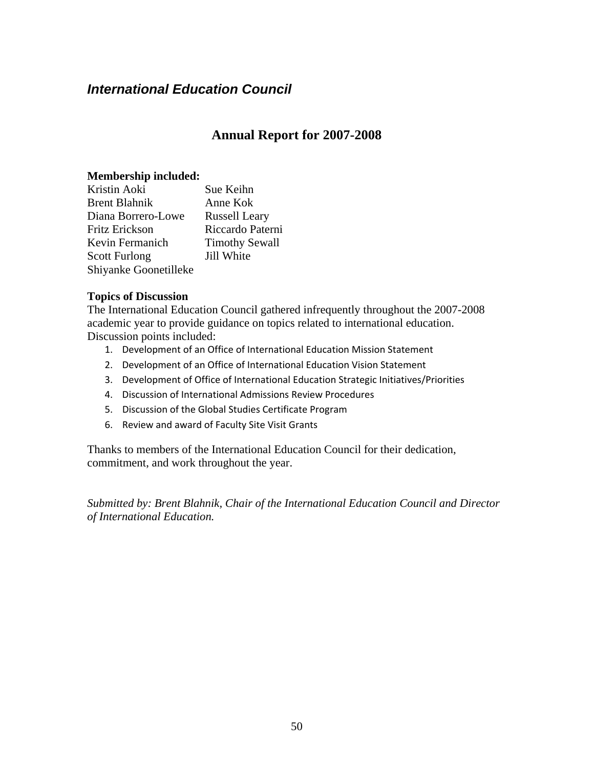### <span id="page-49-0"></span>*International Education Council*

### **Annual Report for 2007-2008**

### **Membership included:**

| Kristin Aoki          | Sue Keihn             |
|-----------------------|-----------------------|
| <b>Brent Blahnik</b>  | Anne Kok              |
| Diana Borrero-Lowe    | <b>Russell Leary</b>  |
| Fritz Erickson        | Riccardo Paterni      |
| Kevin Fermanich       | <b>Timothy Sewall</b> |
| <b>Scott Furlong</b>  | Jill White            |
| Shiyanke Goonetilleke |                       |

#### **Topics of Discussion**

The International Education Council gathered infrequently throughout the 2007-2008 academic year to provide guidance on topics related to international education. Discussion points included:

- 1. Development of an Office of International Education Mission Statement
- 2. Development of an Office of International Education Vision Statement
- 3. Development of Office of International Education Strategic Initiatives/Priorities
- 4. Discussion of International Admissions Review Procedures
- 5. Discussion of the Global Studies Certificate Program
- 6. Review and award of Faculty Site Visit Grants

Thanks to members of the International Education Council for their dedication, commitment, and work throughout the year.

*Submitted by: Brent Blahnik, Chair of the International Education Council and Director of International Education.*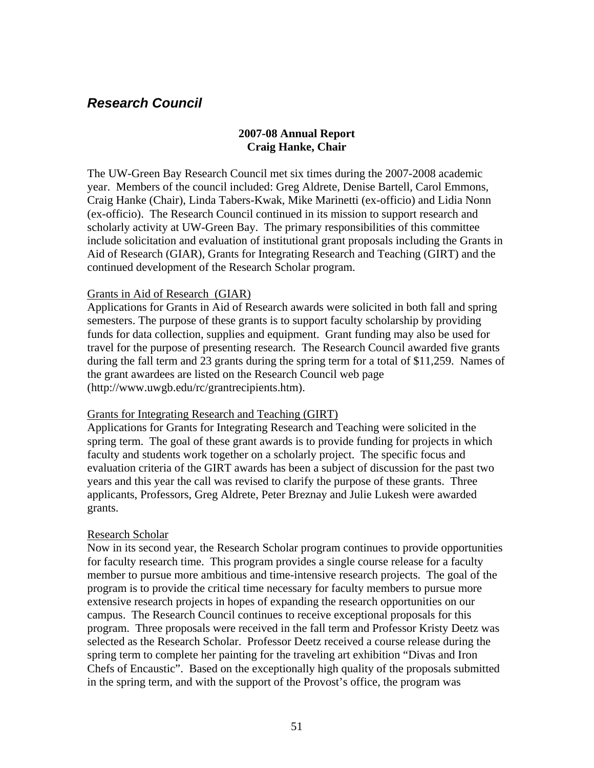### <span id="page-50-0"></span>*Research Council*

### **2007-08 Annual Report Craig Hanke, Chair**

The UW-Green Bay Research Council met six times during the 2007-2008 academic year. Members of the council included: Greg Aldrete, Denise Bartell, Carol Emmons, Craig Hanke (Chair), Linda Tabers-Kwak, Mike Marinetti (ex-officio) and Lidia Nonn (ex-officio). The Research Council continued in its mission to support research and scholarly activity at UW-Green Bay. The primary responsibilities of this committee include solicitation and evaluation of institutional grant proposals including the Grants in Aid of Research (GIAR), Grants for Integrating Research and Teaching (GIRT) and the continued development of the Research Scholar program.

#### Grants in Aid of Research (GIAR)

Applications for Grants in Aid of Research awards were solicited in both fall and spring semesters. The purpose of these grants is to support faculty scholarship by providing funds for data collection, supplies and equipment. Grant funding may also be used for travel for the purpose of presenting research. The Research Council awarded five grants during the fall term and 23 grants during the spring term for a total of \$11,259. Names of the grant awardees are listed on the Research Council web page (http://www.uwgb.edu/rc/grantrecipients.htm).

#### Grants for Integrating Research and Teaching (GIRT)

Applications for Grants for Integrating Research and Teaching were solicited in the spring term. The goal of these grant awards is to provide funding for projects in which faculty and students work together on a scholarly project. The specific focus and evaluation criteria of the GIRT awards has been a subject of discussion for the past two years and this year the call was revised to clarify the purpose of these grants. Three applicants, Professors, Greg Aldrete, Peter Breznay and Julie Lukesh were awarded grants.

#### Research Scholar

Now in its second year, the Research Scholar program continues to provide opportunities for faculty research time. This program provides a single course release for a faculty member to pursue more ambitious and time-intensive research projects. The goal of the program is to provide the critical time necessary for faculty members to pursue more extensive research projects in hopes of expanding the research opportunities on our campus. The Research Council continues to receive exceptional proposals for this program. Three proposals were received in the fall term and Professor Kristy Deetz was selected as the Research Scholar. Professor Deetz received a course release during the spring term to complete her painting for the traveling art exhibition "Divas and Iron Chefs of Encaustic". Based on the exceptionally high quality of the proposals submitted in the spring term, and with the support of the Provost's office, the program was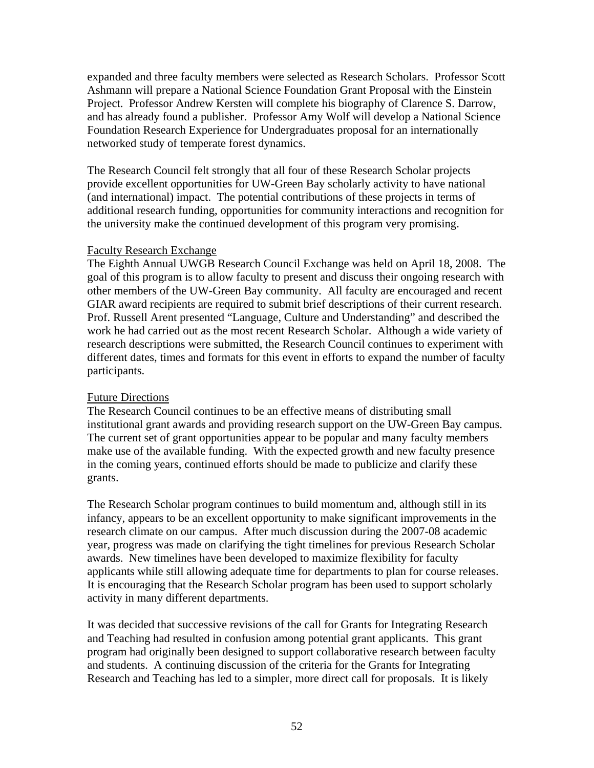expanded and three faculty members were selected as Research Scholars. Professor Scott Ashmann will prepare a National Science Foundation Grant Proposal with the Einstein Project. Professor Andrew Kersten will complete his biography of Clarence S. Darrow, and has already found a publisher. Professor Amy Wolf will develop a National Science Foundation Research Experience for Undergraduates proposal for an internationally networked study of temperate forest dynamics.

The Research Council felt strongly that all four of these Research Scholar projects provide excellent opportunities for UW-Green Bay scholarly activity to have national (and international) impact. The potential contributions of these projects in terms of additional research funding, opportunities for community interactions and recognition for the university make the continued development of this program very promising.

#### Faculty Research Exchange

The Eighth Annual UWGB Research Council Exchange was held on April 18, 2008. The goal of this program is to allow faculty to present and discuss their ongoing research with other members of the UW-Green Bay community. All faculty are encouraged and recent GIAR award recipients are required to submit brief descriptions of their current research. Prof. Russell Arent presented "Language, Culture and Understanding" and described the work he had carried out as the most recent Research Scholar. Although a wide variety of research descriptions were submitted, the Research Council continues to experiment with different dates, times and formats for this event in efforts to expand the number of faculty participants.

### Future Directions

The Research Council continues to be an effective means of distributing small institutional grant awards and providing research support on the UW-Green Bay campus. The current set of grant opportunities appear to be popular and many faculty members make use of the available funding. With the expected growth and new faculty presence in the coming years, continued efforts should be made to publicize and clarify these grants.

The Research Scholar program continues to build momentum and, although still in its infancy, appears to be an excellent opportunity to make significant improvements in the research climate on our campus. After much discussion during the 2007-08 academic year, progress was made on clarifying the tight timelines for previous Research Scholar awards. New timelines have been developed to maximize flexibility for faculty applicants while still allowing adequate time for departments to plan for course releases. It is encouraging that the Research Scholar program has been used to support scholarly activity in many different departments.

It was decided that successive revisions of the call for Grants for Integrating Research and Teaching had resulted in confusion among potential grant applicants. This grant program had originally been designed to support collaborative research between faculty and students. A continuing discussion of the criteria for the Grants for Integrating Research and Teaching has led to a simpler, more direct call for proposals. It is likely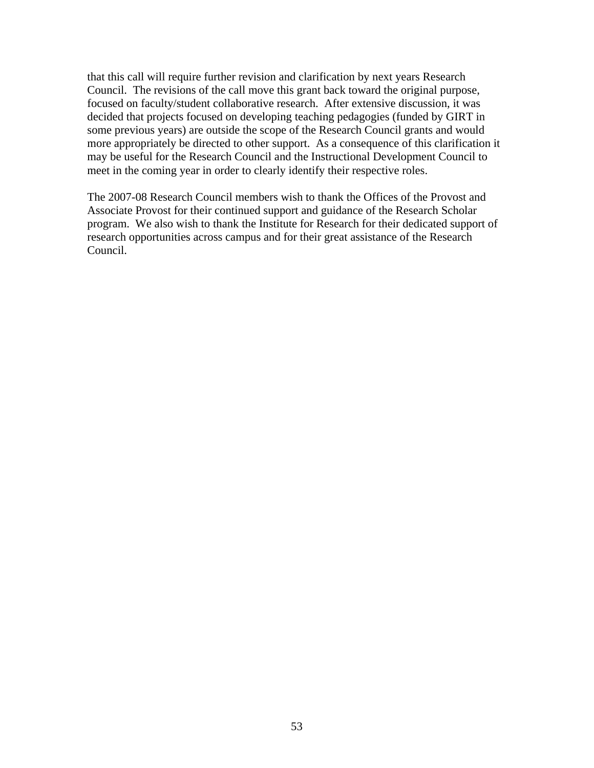that this call will require further revision and clarification by next years Research Council. The revisions of the call move this grant back toward the original purpose, focused on faculty/student collaborative research. After extensive discussion, it was decided that projects focused on developing teaching pedagogies (funded by GIRT in some previous years) are outside the scope of the Research Council grants and would more appropriately be directed to other support. As a consequence of this clarification it may be useful for the Research Council and the Instructional Development Council to meet in the coming year in order to clearly identify their respective roles.

The 2007-08 Research Council members wish to thank the Offices of the Provost and Associate Provost for their continued support and guidance of the Research Scholar program. We also wish to thank the Institute for Research for their dedicated support of research opportunities across campus and for their great assistance of the Research Council.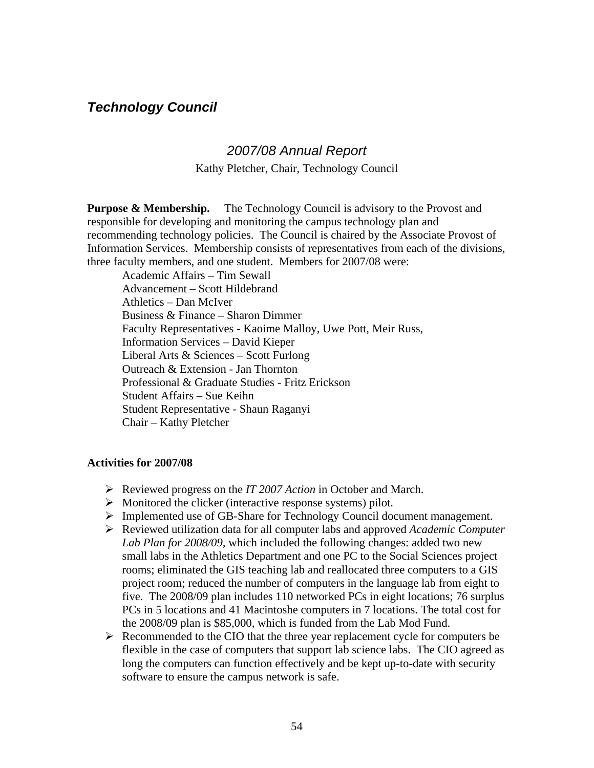### <span id="page-53-0"></span>*Technology Council*

### *2007/08 Annual Report*

Kathy Pletcher, Chair, Technology Council

**Purpose & Membership.** The Technology Council is advisory to the Provost and responsible for developing and monitoring the campus technology plan and recommending technology policies. The Council is chaired by the Associate Provost of Information Services. Membership consists of representatives from each of the divisions, three faculty members, and one student. Members for 2007/08 were:

Academic Affairs – Tim Sewall Advancement – Scott Hildebrand Athletics – Dan McIver Business & Finance – Sharon Dimmer Faculty Representatives - Kaoime Malloy, Uwe Pott, Meir Russ, Information Services – David Kieper Liberal Arts & Sciences – Scott Furlong Outreach & Extension - Jan Thornton Professional & Graduate Studies - Fritz Erickson Student Affairs – Sue Keihn Student Representative - Shaun Raganyi Chair – Kathy Pletcher

#### **Activities for 2007/08**

- ¾ Reviewed progress on the *IT 2007 Action* in October and March.
- $\triangleright$  Monitored the clicker (interactive response systems) pilot.
- $\triangleright$  Implemented use of GB-Share for Technology Council document management.
- ¾ Reviewed utilization data for all computer labs and approved *Academic Computer Lab Plan for 2008/09,* which included the following changes: added two new small labs in the Athletics Department and one PC to the Social Sciences project rooms; eliminated the GIS teaching lab and reallocated three computers to a GIS project room; reduced the number of computers in the language lab from eight to five. The 2008/09 plan includes 110 networked PCs in eight locations; 76 surplus PCs in 5 locations and 41 Macintoshe computers in 7 locations. The total cost for the 2008/09 plan is \$85,000, which is funded from the Lab Mod Fund.
- ¾ Recommended to the CIO that the three year replacement cycle for computers be flexible in the case of computers that support lab science labs. The CIO agreed as long the computers can function effectively and be kept up-to-date with security software to ensure the campus network is safe.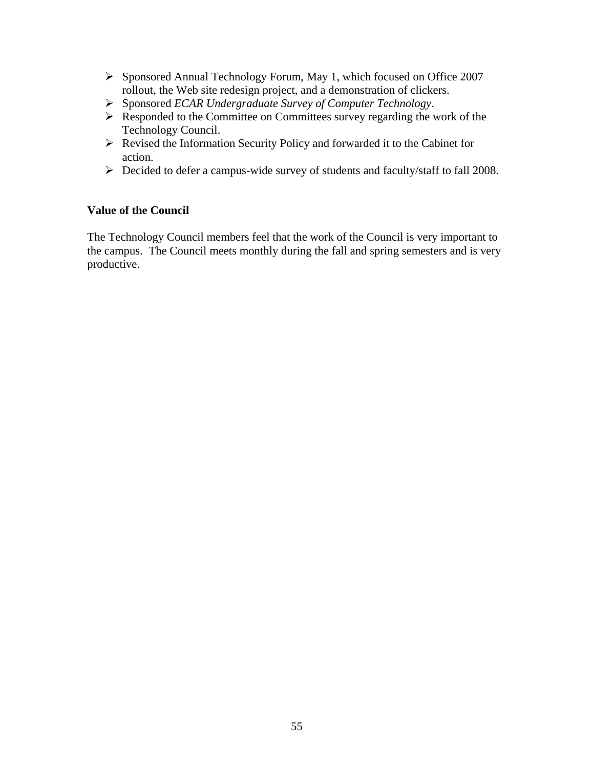- ¾ Sponsored Annual Technology Forum, May 1, which focused on Office 2007 rollout, the Web site redesign project, and a demonstration of clickers.
- ¾ Sponsored *ECAR Undergraduate Survey of Computer Technology*.
- $\triangleright$  Responded to the Committee on Committees survey regarding the work of the Technology Council.
- ¾ Revised the Information Security Policy and forwarded it to the Cabinet for action.
- ¾ Decided to defer a campus-wide survey of students and faculty/staff to fall 2008.

### **Value of the Council**

The Technology Council members feel that the work of the Council is very important to the campus. The Council meets monthly during the fall and spring semesters and is very productive.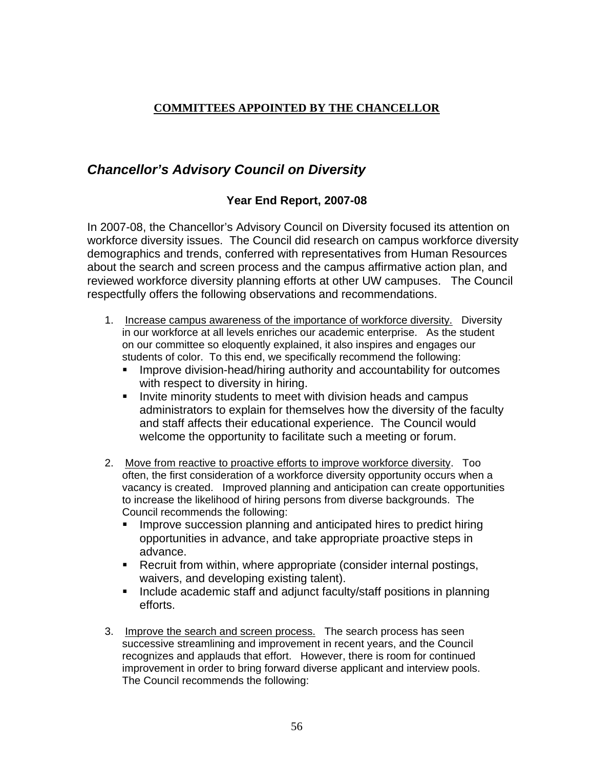### <span id="page-55-0"></span>**COMMITTEES APPOINTED BY THE CHANCELLOR**

### *Chancellor's Advisory Council on Diversity*

### **Year End Report, 2007-08**

In 2007-08, the Chancellor's Advisory Council on Diversity focused its attention on workforce diversity issues. The Council did research on campus workforce diversity demographics and trends, conferred with representatives from Human Resources about the search and screen process and the campus affirmative action plan, and reviewed workforce diversity planning efforts at other UW campuses. The Council respectfully offers the following observations and recommendations.

- 1. Increase campus awareness of the importance of workforce diversity. Diversity in our workforce at all levels enriches our academic enterprise. As the student on our committee so eloquently explained, it also inspires and engages our students of color. To this end, we specifically recommend the following:
	- **IMPROVE division-head/hiring authority and accountability for outcomes** with respect to diversity in hiring.
	- **IDUM** Invite minority students to meet with division heads and campus administrators to explain for themselves how the diversity of the faculty and staff affects their educational experience. The Council would welcome the opportunity to facilitate such a meeting or forum.
- 2. Move from reactive to proactive efforts to improve workforce diversity. Too often, the first consideration of a workforce diversity opportunity occurs when a vacancy is created. Improved planning and anticipation can create opportunities to increase the likelihood of hiring persons from diverse backgrounds. The Council recommends the following:
	- **IMPROVE SUCCESSION planning and anticipated hires to predict hiring** opportunities in advance, and take appropriate proactive steps in advance.
	- **Recruit from within, where appropriate (consider internal postings,** waivers, and developing existing talent).
	- Include academic staff and adjunct faculty/staff positions in planning efforts.
- 3. Improve the search and screen process. The search process has seen successive streamlining and improvement in recent years, and the Council recognizes and applauds that effort. However, there is room for continued improvement in order to bring forward diverse applicant and interview pools. The Council recommends the following: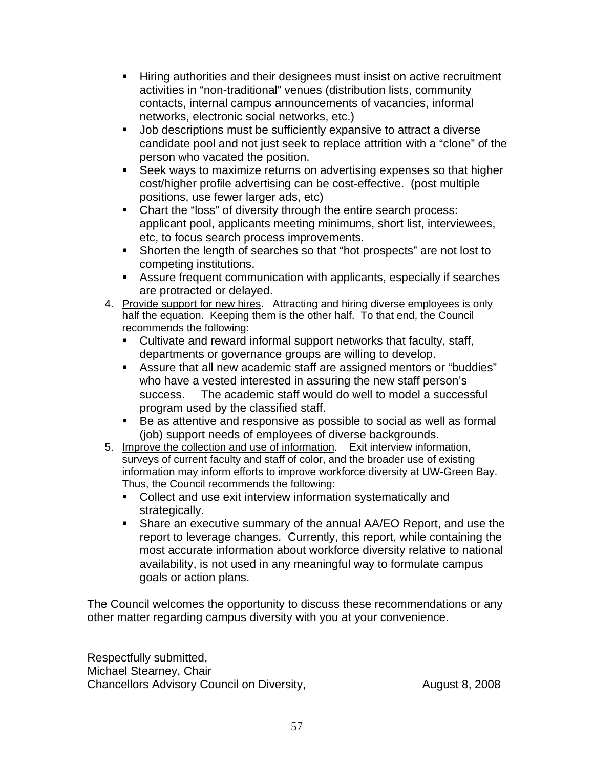- Hiring authorities and their designees must insist on active recruitment activities in "non-traditional" venues (distribution lists, community contacts, internal campus announcements of vacancies, informal networks, electronic social networks, etc.)
- **Job descriptions must be sufficiently expansive to attract a diverse** candidate pool and not just seek to replace attrition with a "clone" of the person who vacated the position.
- **Seek ways to maximize returns on advertising expenses so that higher** cost/higher profile advertising can be cost-effective. (post multiple positions, use fewer larger ads, etc)
- Chart the "loss" of diversity through the entire search process: applicant pool, applicants meeting minimums, short list, interviewees, etc, to focus search process improvements.
- Shorten the length of searches so that "hot prospects" are not lost to competing institutions.
- Assure frequent communication with applicants, especially if searches are protracted or delayed.
- 4. Provide support for new hires. Attracting and hiring diverse employees is only half the equation. Keeping them is the other half. To that end, the Council recommends the following:
	- Cultivate and reward informal support networks that faculty, staff, departments or governance groups are willing to develop.
	- Assure that all new academic staff are assigned mentors or "buddies" who have a vested interested in assuring the new staff person's success. The academic staff would do well to model a successful program used by the classified staff.
	- Be as attentive and responsive as possible to social as well as formal (iob) support needs of employees of diverse backgrounds.
- 5. Improve the collection and use of information. Exit interview information, surveys of current faculty and staff of color, and the broader use of existing information may inform efforts to improve workforce diversity at UW-Green Bay. Thus, the Council recommends the following:
	- Collect and use exit interview information systematically and strategically.
	- Share an executive summary of the annual AA/EO Report, and use the report to leverage changes. Currently, this report, while containing the most accurate information about workforce diversity relative to national availability, is not used in any meaningful way to formulate campus goals or action plans.

The Council welcomes the opportunity to discuss these recommendations or any other matter regarding campus diversity with you at your convenience.

Respectfully submitted, Michael Stearney, Chair Chancellors Advisory Council on Diversity, The Chancellors August 8, 2008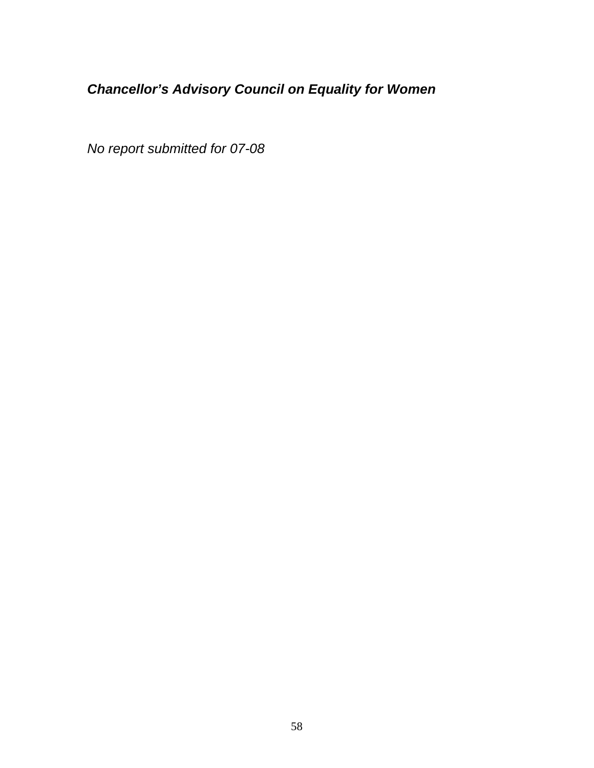# <span id="page-57-0"></span>*Chancellor's Advisory Council on Equality for Women*

*No report submitted for 07-08*